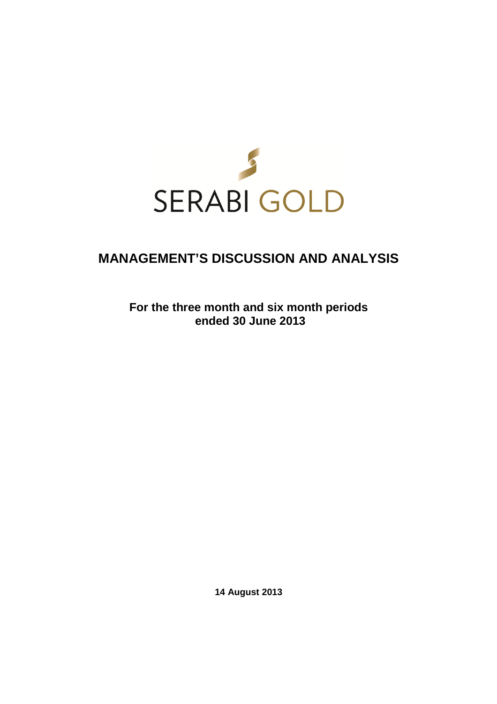

# **MANAGEMENT'S DISCUSSION AND ANALYSIS**

**For the three month and six month periods ended 30 June 2013** 

**14 August 2013**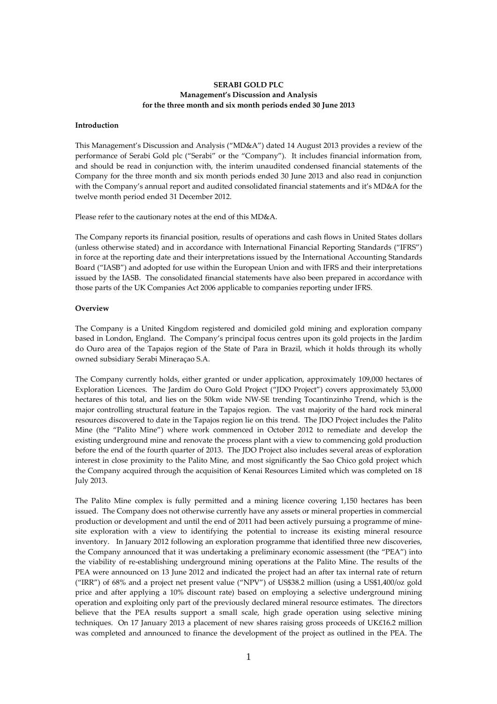## **SERABI GOLD PLC Management's Discussion and Analysis for the three month and six month periods ended 30 June 2013**

## **Introduction**

This Management's Discussion and Analysis ("MD&A") dated 14 August 2013 provides a review of the performance of Serabi Gold plc ("Serabi" or the "Company"). It includes financial information from, and should be read in conjunction with, the interim unaudited condensed financial statements of the Company for the three month and six month periods ended 30 June 2013 and also read in conjunction with the Company's annual report and audited consolidated financial statements and it's MD&A for the twelve month period ended 31 December 2012.

Please refer to the cautionary notes at the end of this MD&A.

The Company reports its financial position, results of operations and cash flows in United States dollars (unless otherwise stated) and in accordance with International Financial Reporting Standards ("IFRS") in force at the reporting date and their interpretations issued by the International Accounting Standards Board ("IASB") and adopted for use within the European Union and with IFRS and their interpretations issued by the IASB. The consolidated financial statements have also been prepared in accordance with those parts of the UK Companies Act 2006 applicable to companies reporting under IFRS.

## **Overview**

The Company is a United Kingdom registered and domiciled gold mining and exploration company based in London, England. The Company's principal focus centres upon its gold projects in the Jardim do Ouro area of the Tapajos region of the State of Para in Brazil, which it holds through its wholly owned subsidiary Serabi Mineraçao S.A.

The Company currently holds, either granted or under application, approximately 109,000 hectares of Exploration Licences. The Jardim do Ouro Gold Project ("JDO Project") covers approximately 53,000 hectares of this total, and lies on the 50km wide NW-SE trending Tocantinzinho Trend, which is the major controlling structural feature in the Tapajos region. The vast majority of the hard rock mineral resources discovered to date in the Tapajos region lie on this trend. The JDO Project includes the Palito Mine (the "Palito Mine") where work commenced in October 2012 to remediate and develop the existing underground mine and renovate the process plant with a view to commencing gold production before the end of the fourth quarter of 2013. The JDO Project also includes several areas of exploration interest in close proximity to the Palito Mine, and most significantly the Sao Chico gold project which the Company acquired through the acquisition of Kenai Resources Limited which was completed on 18 July 2013.

The Palito Mine complex is fully permitted and a mining licence covering 1,150 hectares has been issued. The Company does not otherwise currently have any assets or mineral properties in commercial production or development and until the end of 2011 had been actively pursuing a programme of minesite exploration with a view to identifying the potential to increase its existing mineral resource inventory. In January 2012 following an exploration programme that identified three new discoveries, the Company announced that it was undertaking a preliminary economic assessment (the "PEA") into the viability of re-establishing underground mining operations at the Palito Mine. The results of the PEA were announced on 13 June 2012 and indicated the project had an after tax internal rate of return ("IRR") of 68% and a project net present value ("NPV") of US\$38.2 million (using a US\$1,400/oz gold price and after applying a 10% discount rate) based on employing a selective underground mining operation and exploiting only part of the previously declared mineral resource estimates. The directors believe that the PEA results support a small scale, high grade operation using selective mining techniques. On 17 January 2013 a placement of new shares raising gross proceeds of UK£16.2 million was completed and announced to finance the development of the project as outlined in the PEA. The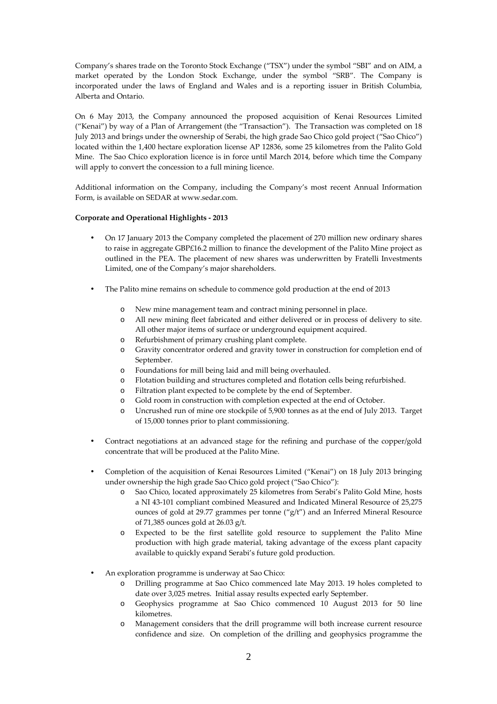Company's shares trade on the Toronto Stock Exchange ("TSX") under the symbol "SBI" and on AIM, a market operated by the London Stock Exchange, under the symbol "SRB". The Company is incorporated under the laws of England and Wales and is a reporting issuer in British Columbia, Alberta and Ontario.

On 6 May 2013, the Company announced the proposed acquisition of Kenai Resources Limited ("Kenai") by way of a Plan of Arrangement (the "Transaction"). The Transaction was completed on 18 July 2013 and brings under the ownership of Serabi, the high grade Sao Chico gold project ("Sao Chico") located within the 1,400 hectare exploration license AP 12836, some 25 kilometres from the Palito Gold Mine. The Sao Chico exploration licence is in force until March 2014, before which time the Company will apply to convert the concession to a full mining licence.

Additional information on the Company, including the Company's most recent Annual Information Form, is available on SEDAR at www.sedar.com.

## **Corporate and Operational Highlights - 2013**

- On 17 January 2013 the Company completed the placement of 270 million new ordinary shares to raise in aggregate GBP£16.2 million to finance the development of the Palito Mine project as outlined in the PEA. The placement of new shares was underwritten by Fratelli Investments Limited, one of the Company's major shareholders.
- The Palito mine remains on schedule to commence gold production at the end of 2013
	- o New mine management team and contract mining personnel in place.
	- o All new mining fleet fabricated and either delivered or in process of delivery to site. All other major items of surface or underground equipment acquired.
	- o Refurbishment of primary crushing plant complete.
	- o Gravity concentrator ordered and gravity tower in construction for completion end of September.
	- o Foundations for mill being laid and mill being overhauled.
	- o Flotation building and structures completed and flotation cells being refurbished.
	- o Filtration plant expected to be complete by the end of September.
	- o Gold room in construction with completion expected at the end of October.
	- o Uncrushed run of mine ore stockpile of 5,900 tonnes as at the end of July 2013. Target of 15,000 tonnes prior to plant commissioning.
- Contract negotiations at an advanced stage for the refining and purchase of the copper/gold concentrate that will be produced at the Palito Mine.
- Completion of the acquisition of Kenai Resources Limited ("Kenai") on 18 July 2013 bringing under ownership the high grade Sao Chico gold project ("Sao Chico"):
	- Sao Chico, located approximately 25 kilometres from Serabi's Palito Gold Mine, hosts a NI 43-101 compliant combined Measured and Indicated Mineral Resource of 25,275 ounces of gold at 29.77 grammes per tonne ("g/t") and an Inferred Mineral Resource of 71,385 ounces gold at 26.03 g/t.
	- o Expected to be the first satellite gold resource to supplement the Palito Mine production with high grade material, taking advantage of the excess plant capacity available to quickly expand Serabi's future gold production.
- An exploration programme is underway at Sao Chico:
	- o Drilling programme at Sao Chico commenced late May 2013. 19 holes completed to date over 3,025 metres. Initial assay results expected early September.
	- o Geophysics programme at Sao Chico commenced 10 August 2013 for 50 line kilometres.
	- o Management considers that the drill programme will both increase current resource confidence and size. On completion of the drilling and geophysics programme the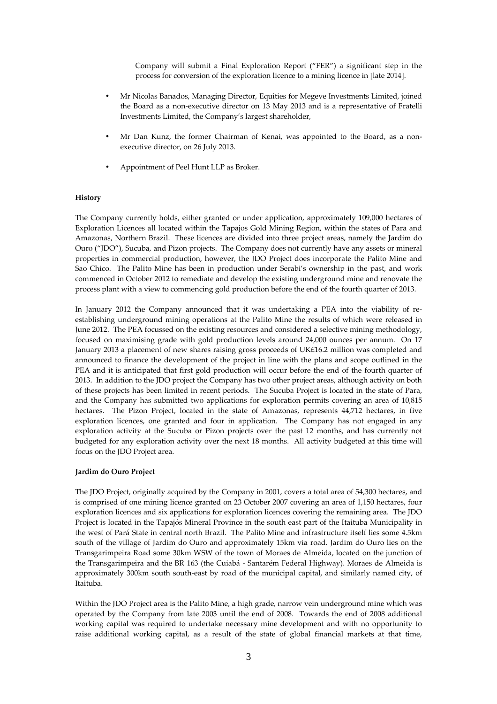Company will submit a Final Exploration Report ("FER") a significant step in the process for conversion of the exploration licence to a mining licence in [late 2014].

- Mr Nicolas Banados, Managing Director, Equities for Megeve Investments Limited, joined the Board as a non-executive director on 13 May 2013 and is a representative of Fratelli Investments Limited, the Company's largest shareholder,
- Mr Dan Kunz, the former Chairman of Kenai, was appointed to the Board, as a nonexecutive director, on 26 July 2013.
- Appointment of Peel Hunt LLP as Broker.

## **History**

The Company currently holds, either granted or under application, approximately 109,000 hectares of Exploration Licences all located within the Tapajos Gold Mining Region, within the states of Para and Amazonas, Northern Brazil. These licences are divided into three project areas, namely the Jardim do Ouro ("JDO"), Sucuba, and Pizon projects. The Company does not currently have any assets or mineral properties in commercial production, however, the JDO Project does incorporate the Palito Mine and Sao Chico. The Palito Mine has been in production under Serabi's ownership in the past, and work commenced in October 2012 to remediate and develop the existing underground mine and renovate the process plant with a view to commencing gold production before the end of the fourth quarter of 2013.

In January 2012 the Company announced that it was undertaking a PEA into the viability of reestablishing underground mining operations at the Palito Mine the results of which were released in June 2012. The PEA focussed on the existing resources and considered a selective mining methodology, focused on maximising grade with gold production levels around 24,000 ounces per annum. On 17 January 2013 a placement of new shares raising gross proceeds of UK£16.2 million was completed and announced to finance the development of the project in line with the plans and scope outlined in the PEA and it is anticipated that first gold production will occur before the end of the fourth quarter of 2013. In addition to the JDO project the Company has two other project areas, although activity on both of these projects has been limited in recent periods. The Sucuba Project is located in the state of Para, and the Company has submitted two applications for exploration permits covering an area of 10,815 hectares. The Pizon Project, located in the state of Amazonas, represents 44,712 hectares, in five exploration licences, one granted and four in application. The Company has not engaged in any exploration activity at the Sucuba or Pizon projects over the past 12 months, and has currently not budgeted for any exploration activity over the next 18 months. All activity budgeted at this time will focus on the JDO Project area.

#### **Jardim do Ouro Project**

The JDO Project, originally acquired by the Company in 2001, covers a total area of 54,300 hectares, and is comprised of one mining licence granted on 23 October 2007 covering an area of 1,150 hectares, four exploration licences and six applications for exploration licences covering the remaining area. The JDO Project is located in the Tapajós Mineral Province in the south east part of the Itaituba Municipality in the west of Pará State in central north Brazil. The Palito Mine and infrastructure itself lies some 4.5km south of the village of Jardim do Ouro and approximately 15km via road. Jardim do Ouro lies on the Transgarimpeira Road some 30km WSW of the town of Moraes de Almeida, located on the junction of the Transgarimpeira and the BR 163 (the Cuiabá - Santarém Federal Highway). Moraes de Almeida is approximately 300km south south-east by road of the municipal capital, and similarly named city, of Itaituba.

Within the JDO Project area is the Palito Mine, a high grade, narrow vein underground mine which was operated by the Company from late 2003 until the end of 2008. Towards the end of 2008 additional working capital was required to undertake necessary mine development and with no opportunity to raise additional working capital, as a result of the state of global financial markets at that time,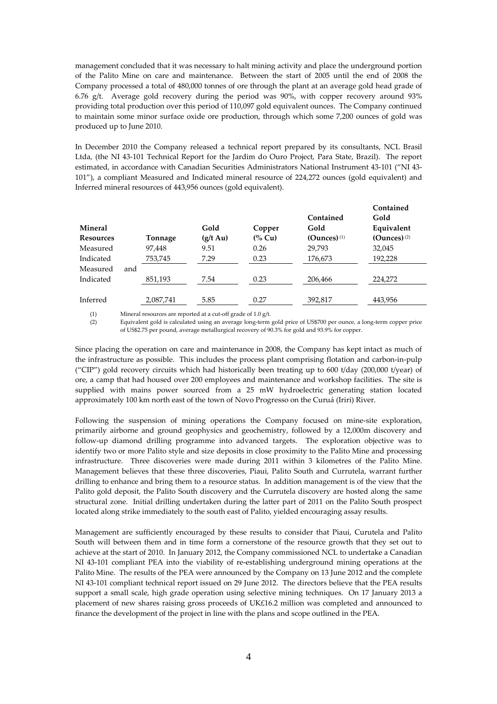management concluded that it was necessary to halt mining activity and place the underground portion of the Palito Mine on care and maintenance. Between the start of 2005 until the end of 2008 the Company processed a total of 480,000 tonnes of ore through the plant at an average gold head grade of 6.76 g/t. Average gold recovery during the period was 90%, with copper recovery around 93% providing total production over this period of 110,097 gold equivalent ounces. The Company continued to maintain some minor surface oxide ore production, through which some 7,200 ounces of gold was produced up to June 2010.

In December 2010 the Company released a technical report prepared by its consultants, NCL Brasil Ltda, (the NI 43-101 Technical Report for the Jardim do Ouro Project, Para State, Brazil). The report estimated, in accordance with Canadian Securities Administrators National Instrument 43-101 ("NI 43- 101"), a compliant Measured and Indicated mineral resource of 224,272 ounces (gold equivalent) and Inferred mineral resources of 443,956 ounces (gold equivalent).

|                  |           |                    |        |                | Contained      |
|------------------|-----------|--------------------|--------|----------------|----------------|
|                  |           |                    |        | Contained      | Gold           |
| Mineral          |           | Gold               | Copper | Gold           | Equivalent     |
| <b>Resources</b> | Tonnage   | $(g/t \text{ Au})$ | (% Cu) | (Ounces) $(1)$ | (Ounces) $(2)$ |
| Measured         | 97,448    | 9.51               | 0.26   | 29,793         | 32,045         |
| Indicated        | 753,745   | 7.29               | 0.23   | 176,673        | 192,228        |
| and<br>Measured  |           |                    |        |                |                |
| Indicated        | 851,193   | 7.54               | 0.23   | 206,466        | 224,272        |
|                  |           |                    |        |                |                |
| Inferred         | 2,087,741 | 5.85               | 0.27   | 392,817        | 443,956        |

(1) Mineral resources are reported at a cut-off grade of 1.0 g/t.

(2) Equivalent gold is calculated using an average long-term gold price of US\$700 per ounce, a long-term copper price of US\$2.75 per pound, average metallurgical recovery of 90.3% for gold and 93.9% for copper.

Since placing the operation on care and maintenance in 2008, the Company has kept intact as much of the infrastructure as possible. This includes the process plant comprising flotation and carbon-in-pulp ("CIP") gold recovery circuits which had historically been treating up to 600 t/day (200,000 t/year) of ore, a camp that had housed over 200 employees and maintenance and workshop facilities. The site is supplied with mains power sourced from a 25 mW hydroelectric generating station located approximately 100 km north east of the town of Novo Progresso on the Curuá (Iriri) River.

Following the suspension of mining operations the Company focused on mine-site exploration, primarily airborne and ground geophysics and geochemistry, followed by a 12,000m discovery and follow-up diamond drilling programme into advanced targets. The exploration objective was to identify two or more Palito style and size deposits in close proximity to the Palito Mine and processing infrastructure. Three discoveries were made during 2011 within 3 kilometres of the Palito Mine. Management believes that these three discoveries, Piaui, Palito South and Currutela, warrant further drilling to enhance and bring them to a resource status. In addition management is of the view that the Palito gold deposit, the Palito South discovery and the Currutela discovery are hosted along the same structural zone. Initial drilling undertaken during the latter part of 2011 on the Palito South prospect located along strike immediately to the south east of Palito, yielded encouraging assay results.

Management are sufficiently encouraged by these results to consider that Piaui, Curutela and Palito South will between them and in time form a cornerstone of the resource growth that they set out to achieve at the start of 2010. In January 2012, the Company commissioned NCL to undertake a Canadian NI 43-101 compliant PEA into the viability of re-establishing underground mining operations at the Palito Mine. The results of the PEA were announced by the Company on 13 June 2012 and the complete NI 43-101 compliant technical report issued on 29 June 2012. The directors believe that the PEA results support a small scale, high grade operation using selective mining techniques. On 17 January 2013 a placement of new shares raising gross proceeds of UK£16.2 million was completed and announced to finance the development of the project in line with the plans and scope outlined in the PEA.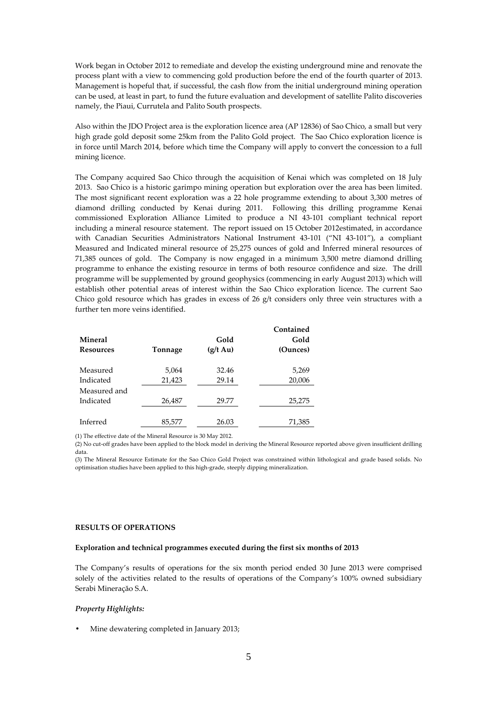Work began in October 2012 to remediate and develop the existing underground mine and renovate the process plant with a view to commencing gold production before the end of the fourth quarter of 2013. Management is hopeful that, if successful, the cash flow from the initial underground mining operation can be used, at least in part, to fund the future evaluation and development of satellite Palito discoveries namely, the Piaui, Currutela and Palito South prospects.

Also within the JDO Project area is the exploration licence area (AP 12836) of Sao Chico, a small but very high grade gold deposit some 25km from the Palito Gold project. The Sao Chico exploration licence is in force until March 2014, before which time the Company will apply to convert the concession to a full mining licence.

The Company acquired Sao Chico through the acquisition of Kenai which was completed on 18 July 2013. Sao Chico is a historic garimpo mining operation but exploration over the area has been limited. The most significant recent exploration was a 22 hole programme extending to about 3,300 metres of diamond drilling conducted by Kenai during 2011. Following this drilling programme Kenai commissioned Exploration Alliance Limited to produce a NI 43-101 compliant technical report including a mineral resource statement. The report issued on 15 October 2012estimated, in accordance with Canadian Securities Administrators National Instrument 43-101 ("NI 43-101"), a compliant Measured and Indicated mineral resource of 25,275 ounces of gold and Inferred mineral resources of 71,385 ounces of gold. The Company is now engaged in a minimum 3,500 metre diamond drilling programme to enhance the existing resource in terms of both resource confidence and size. The drill programme will be supplemented by ground geophysics (commencing in early August 2013) which will establish other potential areas of interest within the Sao Chico exploration licence. The current Sao Chico gold resource which has grades in excess of 26 g/t considers only three vein structures with a further ten more veins identified.

|                  |         |                    | Contained |
|------------------|---------|--------------------|-----------|
| Mineral          |         | Gold               | Gold      |
| <b>Resources</b> | Tonnage | $(g/t \text{ Au})$ | (Ounces)  |
| Measured         | 5,064   | 32.46              | 5,269     |
| Indicated        | 21,423  | 29.14              | 20,006    |
| Measured and     |         |                    |           |
| Indicated        | 26,487  | 29.77              | 25,275    |
| Inferred         | 85,577  | 26.03              | 71,385    |

(1) The effective date of the Mineral Resource is 30 May 2012.

(2) No cut-off grades have been applied to the block model in deriving the Mineral Resource reported above given insufficient drilling data.

(3) The Mineral Resource Estimate for the Sao Chico Gold Project was constrained within lithological and grade based solids. No optimisation studies have been applied to this high-grade, steeply dipping mineralization.

#### **RESULTS OF OPERATIONS**

#### **Exploration and technical programmes executed during the first six months of 2013**

The Company's results of operations for the six month period ended 30 June 2013 were comprised solely of the activities related to the results of operations of the Company's 100% owned subsidiary Serabi Mineraçăo S.A.

## *Property Highlights:*

• Mine dewatering completed in January 2013;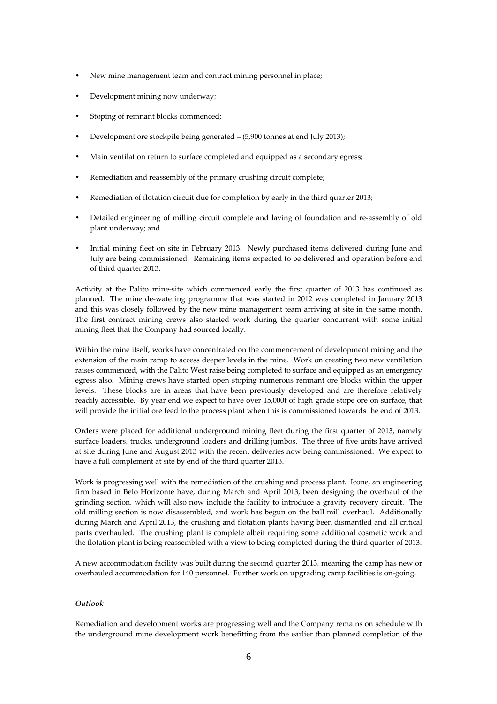- New mine management team and contract mining personnel in place;
- Development mining now underway;
- Stoping of remnant blocks commenced;
- Development ore stockpile being generated (5,900 tonnes at end July 2013);
- Main ventilation return to surface completed and equipped as a secondary egress;
- Remediation and reassembly of the primary crushing circuit complete;
- Remediation of flotation circuit due for completion by early in the third quarter 2013;
- Detailed engineering of milling circuit complete and laying of foundation and re-assembly of old plant underway; and
- Initial mining fleet on site in February 2013. Newly purchased items delivered during June and July are being commissioned. Remaining items expected to be delivered and operation before end of third quarter 2013.

Activity at the Palito mine-site which commenced early the first quarter of 2013 has continued as planned. The mine de-watering programme that was started in 2012 was completed in January 2013 and this was closely followed by the new mine management team arriving at site in the same month. The first contract mining crews also started work during the quarter concurrent with some initial mining fleet that the Company had sourced locally.

Within the mine itself, works have concentrated on the commencement of development mining and the extension of the main ramp to access deeper levels in the mine. Work on creating two new ventilation raises commenced, with the Palito West raise being completed to surface and equipped as an emergency egress also. Mining crews have started open stoping numerous remnant ore blocks within the upper levels. These blocks are in areas that have been previously developed and are therefore relatively readily accessible. By year end we expect to have over 15,000t of high grade stope ore on surface, that will provide the initial ore feed to the process plant when this is commissioned towards the end of 2013.

Orders were placed for additional underground mining fleet during the first quarter of 2013, namely surface loaders, trucks, underground loaders and drilling jumbos. The three of five units have arrived at site during June and August 2013 with the recent deliveries now being commissioned. We expect to have a full complement at site by end of the third quarter 2013.

Work is progressing well with the remediation of the crushing and process plant. Icone, an engineering firm based in Belo Horizonte have, during March and April 2013, been designing the overhaul of the grinding section, which will also now include the facility to introduce a gravity recovery circuit. The old milling section is now disassembled, and work has begun on the ball mill overhaul. Additionally during March and April 2013, the crushing and flotation plants having been dismantled and all critical parts overhauled. The crushing plant is complete albeit requiring some additional cosmetic work and the flotation plant is being reassembled with a view to being completed during the third quarter of 2013.

A new accommodation facility was built during the second quarter 2013, meaning the camp has new or overhauled accommodation for 140 personnel. Further work on upgrading camp facilities is on-going.

## *Outlook*

Remediation and development works are progressing well and the Company remains on schedule with the underground mine development work benefitting from the earlier than planned completion of the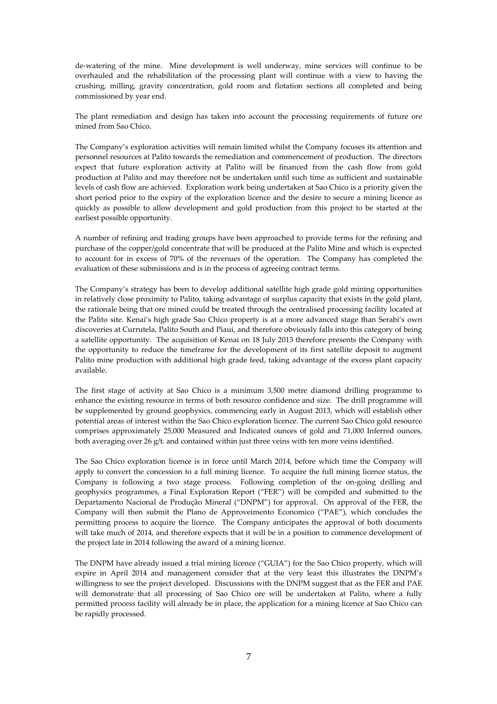de-watering of the mine. Mine development is well underway, mine services will continue to be overhauled and the rehabilitation of the processing plant will continue with a view to having the crushing, milling, gravity concentration, gold room and flotation sections all completed and being commissioned by year end.

The plant remediation and design has taken into account the processing requirements of future ore mined from Sao Chico.

The Company's exploration activities will remain limited whilst the Company focuses its attention and personnel resources at Palito towards the remediation and commencement of production. The directors expect that future exploration activity at Palito will be financed from the cash flow from gold production at Palito and may therefore not be undertaken until such time as sufficient and sustainable levels of cash flow are achieved. Exploration work being undertaken at Sao Chico is a priority given the short period prior to the expiry of the exploration licence and the desire to secure a mining licence as quickly as possible to allow development and gold production from this project to be started at the earliest possible opportunity.

A number of refining and trading groups have been approached to provide terms for the refining and purchase of the copper/gold concentrate that will be produced at the Palito Mine and which is expected to account for in excess of 70% of the revenues of the operation. The Company has completed the evaluation of these submissions and is in the process of agreeing contract terms.

The Company's strategy has been to develop additional satellite high grade gold mining opportunities in relatively close proximity to Palito, taking advantage of surplus capacity that exists in the gold plant, the rationale being that ore mined could be treated through the centralised processing facility located at the Palito site. Kenai's high grade Sao Chico property is at a more advanced stage than Serabi's own discoveries at Currutela, Palito South and Piaui, and therefore obviously falls into this category of being a satellite opportunity. The acquisition of Kenai on 18 July 2013 therefore presents the Company with the opportunity to reduce the timeframe for the development of its first satellite deposit to augment Palito mine production with additional high grade feed, taking advantage of the excess plant capacity available.

The first stage of activity at Sao Chico is a minimum 3,500 metre diamond drilling programme to enhance the existing resource in terms of both resource confidence and size. The drill programme will be supplemented by ground geophysics, commencing early in August 2013, which will establish other potential areas of interest within the Sao Chico exploration licence. The current Sao Chico gold resource comprises approximately 25,000 Measured and Indicated ounces of gold and 71,000 Inferred ounces, both averaging over 26 g/t. and contained within just three veins with ten more veins identified.

The Sao Chico exploration licence is in force until March 2014, before which time the Company will apply to convert the concession to a full mining licence. To acquire the full mining licence status, the Company is following a two stage process. Following completion of the on-going drilling and geophysics programmes, a Final Exploration Report ("FER") will be compiled and submitted to the Departamento Nacional de Produção Mineral ("DNPM") for approval. On approval of the FER, the Company will then submit the Plano de Approveimento Economico ("PAE"), which concludes the permitting process to acquire the licence. The Company anticipates the approval of both documents will take much of 2014, and therefore expects that it will be in a position to commence development of the project late in 2014 following the award of a mining licence.

The DNPM have already issued a trial mining licence ("GUIA") for the Sao Chico property, which will expire in April 2014 and management consider that at the very least this illustrates the DNPM's willingness to see the project developed. Discussions with the DNPM suggest that as the FER and PAE will demonstrate that all processing of Sao Chico ore will be undertaken at Palito, where a fully permitted process facility will already be in place, the application for a mining licence at Sao Chico can be rapidly processed.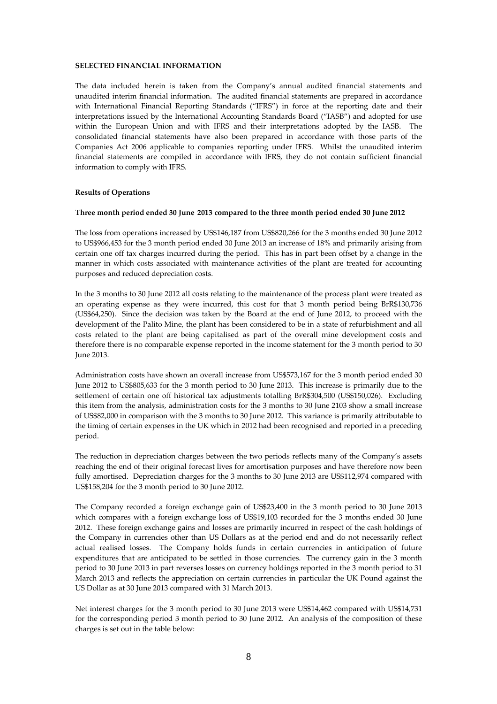#### **SELECTED FINANCIAL INFORMATION**

The data included herein is taken from the Company's annual audited financial statements and unaudited interim financial information. The audited financial statements are prepared in accordance with International Financial Reporting Standards ("IFRS") in force at the reporting date and their interpretations issued by the International Accounting Standards Board ("IASB") and adopted for use within the European Union and with IFRS and their interpretations adopted by the IASB. The consolidated financial statements have also been prepared in accordance with those parts of the Companies Act 2006 applicable to companies reporting under IFRS. Whilst the unaudited interim financial statements are compiled in accordance with IFRS, they do not contain sufficient financial information to comply with IFRS.

#### **Results of Operations**

#### **Three month period ended 30 June 2013 compared to the three month period ended 30 June 2012**

The loss from operations increased by US\$146,187 from US\$820,266 for the 3 months ended 30 June 2012 to US\$966,453 for the 3 month period ended 30 June 2013 an increase of 18% and primarily arising from certain one off tax charges incurred during the period. This has in part been offset by a change in the manner in which costs associated with maintenance activities of the plant are treated for accounting purposes and reduced depreciation costs.

In the 3 months to 30 June 2012 all costs relating to the maintenance of the process plant were treated as an operating expense as they were incurred, this cost for that 3 month period being BrR\$130,736 (US\$64,250). Since the decision was taken by the Board at the end of June 2012, to proceed with the development of the Palito Mine, the plant has been considered to be in a state of refurbishment and all costs related to the plant are being capitalised as part of the overall mine development costs and therefore there is no comparable expense reported in the income statement for the 3 month period to 30 June 2013.

Administration costs have shown an overall increase from US\$573,167 for the 3 month period ended 30 June 2012 to US\$805,633 for the 3 month period to 30 June 2013. This increase is primarily due to the settlement of certain one off historical tax adjustments totalling BrR\$304,500 (US\$150,026). Excluding this item from the analysis, administration costs for the 3 months to 30 June 2103 show a small increase of US\$82,000 in comparison with the 3 months to 30 June 2012. This variance is primarily attributable to the timing of certain expenses in the UK which in 2012 had been recognised and reported in a preceding period.

The reduction in depreciation charges between the two periods reflects many of the Company's assets reaching the end of their original forecast lives for amortisation purposes and have therefore now been fully amortised. Depreciation charges for the 3 months to 30 June 2013 are US\$112,974 compared with US\$158,204 for the 3 month period to 30 June 2012.

The Company recorded a foreign exchange gain of US\$23,400 in the 3 month period to 30 June 2013 which compares with a foreign exchange loss of US\$19,103 recorded for the 3 months ended 30 June 2012. These foreign exchange gains and losses are primarily incurred in respect of the cash holdings of the Company in currencies other than US Dollars as at the period end and do not necessarily reflect actual realised losses. The Company holds funds in certain currencies in anticipation of future expenditures that are anticipated to be settled in those currencies. The currency gain in the 3 month period to 30 June 2013 in part reverses losses on currency holdings reported in the 3 month period to 31 March 2013 and reflects the appreciation on certain currencies in particular the UK Pound against the US Dollar as at 30 June 2013 compared with 31 March 2013.

Net interest charges for the 3 month period to 30 June 2013 were US\$14,462 compared with US\$14,731 for the corresponding period 3 month period to 30 June 2012. An analysis of the composition of these charges is set out in the table below: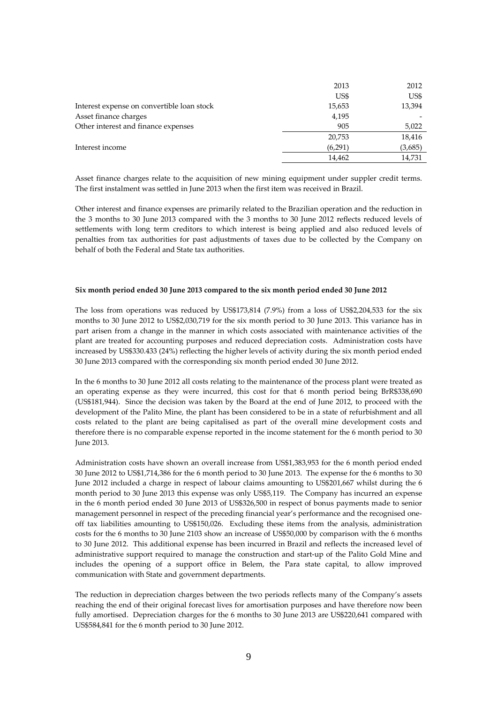|                                            | 2013    | 2012    |
|--------------------------------------------|---------|---------|
|                                            | US\$    | US\$    |
| Interest expense on convertible loan stock | 15,653  | 13,394  |
| Asset finance charges                      | 4,195   |         |
| Other interest and finance expenses        | 905     | 5,022   |
|                                            | 20,753  | 18,416  |
| Interest income                            | (6,291) | (3,685) |
|                                            | 14,462  | 14,731  |
|                                            |         |         |

Asset finance charges relate to the acquisition of new mining equipment under suppler credit terms. The first instalment was settled in June 2013 when the first item was received in Brazil.

Other interest and finance expenses are primarily related to the Brazilian operation and the reduction in the 3 months to 30 June 2013 compared with the 3 months to 30 June 2012 reflects reduced levels of settlements with long term creditors to which interest is being applied and also reduced levels of penalties from tax authorities for past adjustments of taxes due to be collected by the Company on behalf of both the Federal and State tax authorities.

#### **Six month period ended 30 June 2013 compared to the six month period ended 30 June 2012**

The loss from operations was reduced by US\$173,814 (7.9%) from a loss of US\$2,204,533 for the six months to 30 June 2012 to US\$2,030,719 for the six month period to 30 June 2013. This variance has in part arisen from a change in the manner in which costs associated with maintenance activities of the plant are treated for accounting purposes and reduced depreciation costs. Administration costs have increased by US\$330.433 (24%) reflecting the higher levels of activity during the six month period ended 30 June 2013 compared with the corresponding six month period ended 30 June 2012.

In the 6 months to 30 June 2012 all costs relating to the maintenance of the process plant were treated as an operating expense as they were incurred, this cost for that 6 month period being BrR\$338,690 (US\$181,944). Since the decision was taken by the Board at the end of June 2012, to proceed with the development of the Palito Mine, the plant has been considered to be in a state of refurbishment and all costs related to the plant are being capitalised as part of the overall mine development costs and therefore there is no comparable expense reported in the income statement for the 6 month period to 30 June 2013.

Administration costs have shown an overall increase from US\$1,383,953 for the 6 month period ended 30 June 2012 to US\$1,714,386 for the 6 month period to 30 June 2013. The expense for the 6 months to 30 June 2012 included a charge in respect of labour claims amounting to US\$201,667 whilst during the 6 month period to 30 June 2013 this expense was only US\$5,119. The Company has incurred an expense in the 6 month period ended 30 June 2013 of US\$326,500 in respect of bonus payments made to senior management personnel in respect of the preceding financial year's performance and the recognised oneoff tax liabilities amounting to US\$150,026. Excluding these items from the analysis, administration costs for the 6 months to 30 June 2103 show an increase of US\$50,000 by comparison with the 6 months to 30 June 2012. This additional expense has been incurred in Brazil and reflects the increased level of administrative support required to manage the construction and start-up of the Palito Gold Mine and includes the opening of a support office in Belem, the Para state capital, to allow improved communication with State and government departments.

The reduction in depreciation charges between the two periods reflects many of the Company's assets reaching the end of their original forecast lives for amortisation purposes and have therefore now been fully amortised. Depreciation charges for the 6 months to 30 June 2013 are US\$220,641 compared with US\$584,841 for the 6 month period to 30 June 2012.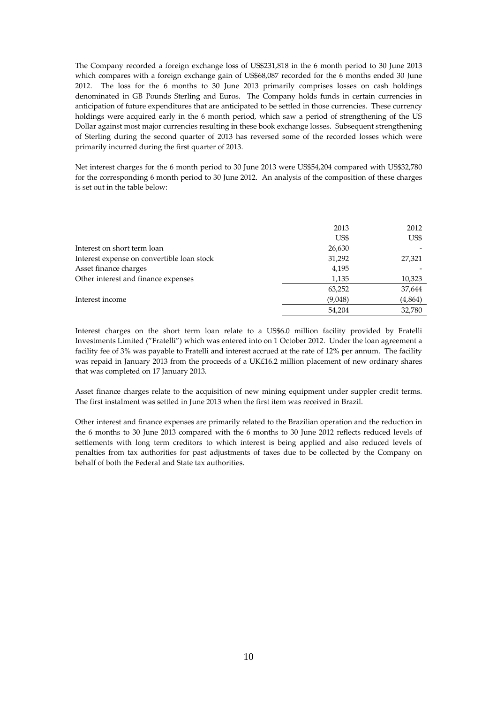The Company recorded a foreign exchange loss of US\$231,818 in the 6 month period to 30 June 2013 which compares with a foreign exchange gain of US\$68,087 recorded for the 6 months ended 30 June 2012. The loss for the 6 months to 30 June 2013 primarily comprises losses on cash holdings denominated in GB Pounds Sterling and Euros. The Company holds funds in certain currencies in anticipation of future expenditures that are anticipated to be settled in those currencies. These currency holdings were acquired early in the 6 month period, which saw a period of strengthening of the US Dollar against most major currencies resulting in these book exchange losses. Subsequent strengthening of Sterling during the second quarter of 2013 has reversed some of the recorded losses which were primarily incurred during the first quarter of 2013.

Net interest charges for the 6 month period to 30 June 2013 were US\$54,204 compared with US\$32,780 for the corresponding 6 month period to 30 June 2012. An analysis of the composition of these charges is set out in the table below:

|                                            | 2013<br>US\$ | 2012<br>US\$ |
|--------------------------------------------|--------------|--------------|
| Interest on short term loan                | 26,630       |              |
| Interest expense on convertible loan stock | 31,292       | 27,321       |
| Asset finance charges                      | 4,195        |              |
| Other interest and finance expenses        | 1,135        | 10,323       |
|                                            | 63,252       | 37,644       |
| Interest income                            | (9,048)      | (4,864)      |
|                                            | 54.204       | 32,780       |

Interest charges on the short term loan relate to a US\$6.0 million facility provided by Fratelli Investments Limited ("Fratelli") which was entered into on 1 October 2012. Under the loan agreement a facility fee of 3% was payable to Fratelli and interest accrued at the rate of 12% per annum. The facility was repaid in January 2013 from the proceeds of a UK£16.2 million placement of new ordinary shares that was completed on 17 January 2013.

Asset finance charges relate to the acquisition of new mining equipment under suppler credit terms. The first instalment was settled in June 2013 when the first item was received in Brazil.

Other interest and finance expenses are primarily related to the Brazilian operation and the reduction in the 6 months to 30 June 2013 compared with the 6 months to 30 June 2012 reflects reduced levels of settlements with long term creditors to which interest is being applied and also reduced levels of penalties from tax authorities for past adjustments of taxes due to be collected by the Company on behalf of both the Federal and State tax authorities.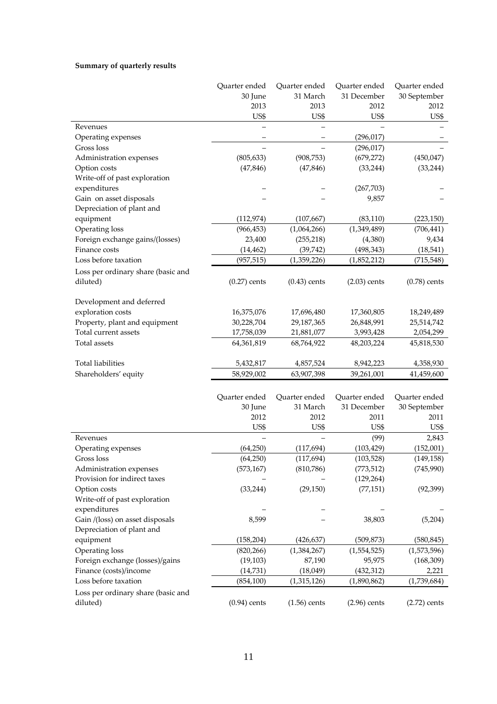## **Summary of quarterly results**

|                                    | Quarter ended  | Quarter ended  | Quarter ended  | Quarter ended  |
|------------------------------------|----------------|----------------|----------------|----------------|
|                                    | 30 June        | 31 March       | 31 December    | 30 September   |
|                                    | 2013           | 2013           | 2012           | 2012           |
|                                    | US\$           | US\$           | US\$           | US\$           |
| Revenues                           |                |                |                |                |
| Operating expenses                 |                |                | (296, 017)     |                |
| Gross loss                         |                |                | (296, 017)     |                |
| Administration expenses            | (805, 633)     | (908, 753)     | (679, 272)     | (450, 047)     |
| Option costs                       | (47, 846)      | (47, 846)      | (33, 244)      | (33, 244)      |
| Write-off of past exploration      |                |                |                |                |
| expenditures                       |                |                | (267, 703)     |                |
| Gain on asset disposals            |                |                | 9,857          |                |
| Depreciation of plant and          |                |                |                |                |
| equipment                          | (112, 974)     | (107, 667)     | (83, 110)      | (223, 150)     |
| Operating loss                     | (966, 453)     | (1,064,266)    | (1,349,489)    | (706, 441)     |
| Foreign exchange gains/(losses)    | 23,400         | (255, 218)     | (4,380)        | 9,434          |
| Finance costs                      | (14, 462)      | (39, 742)      | (498, 343)     | (18, 541)      |
| Loss before taxation               | (957, 515)     | (1,359,226)    | (1,852,212)    | (715, 548)     |
| Loss per ordinary share (basic and |                |                |                |                |
| diluted)                           | $(0.27)$ cents | $(0.43)$ cents | $(2.03)$ cents | $(0.78)$ cents |
|                                    |                |                |                |                |
| Development and deferred           |                |                |                |                |
| exploration costs                  | 16,375,076     | 17,696,480     | 17,360,805     | 18,249,489     |
| Property, plant and equipment      | 30,228,704     | 29,187,365     | 26,848,991     | 25,514,742     |
| Total current assets               | 17,758,039     | 21,881,077     | 3,993,428      | 2,054,299      |
| Total assets                       | 64,361,819     | 68,764,922     | 48,203,224     | 45,818,530     |
|                                    |                |                |                |                |
| <b>Total liabilities</b>           | 5,432,817      | 4,857,524      | 8,942,223      | 4,358,930      |
| Shareholders' equity               | 58,929,002     | 63,907,398     | 39,261,001     | 41,459,600     |
|                                    |                |                |                |                |
|                                    | Quarter ended  | Quarter ended  | Quarter ended  | Quarter ended  |
|                                    | 30 June        | 31 March       | 31 December    | 30 September   |
|                                    | 2012           | 2012           | 2011           | 2011           |
|                                    | US\$           | US\$           | US\$           | US\$           |
|                                    |                |                |                |                |
| Revenues                           |                |                | (99)           | 2,843          |
| Operating expenses                 | (64, 250)      | (117, 694)     | (103, 429)     | (152,001)      |
| Gross loss                         | (64,250)       | (117, 694)     | (103, 528)     | (149, 158)     |
| Administration expenses            | (573, 167)     | (810, 786)     | (773, 512)     | (745,990)      |
| Provision for indirect taxes       |                |                | (129, 264)     |                |
| Option costs                       | (33, 244)      | (29, 150)      | (77, 151)      | (92, 399)      |
| Write-off of past exploration      |                |                |                |                |
| expenditures                       | 8,599          |                |                |                |
| Gain /(loss) on asset disposals    |                |                | 38,803         | (5,204)        |
| Depreciation of plant and          |                |                |                |                |
| equipment                          | (158, 204)     | (426, 637)     | (509, 873)     | (580, 845)     |
| Operating loss                     | (820, 266)     | (1,384,267)    | (1,554,525)    | (1,573,596)    |
| Foreign exchange (losses)/gains    | (19, 103)      | 87,190         | 95,975         | (168, 309)     |
| Finance (costs)/income             | (14, 731)      | (18,049)       | (432, 312)     | 2,221          |
| Loss before taxation               | (854, 100)     | (1,315,126)    | (1,890,862)    | (1,739,684)    |
| Loss per ordinary share (basic and |                |                |                |                |
| diluted)                           | $(0.94)$ cents | $(1.56)$ cents | $(2.96)$ cents | $(2.72)$ cents |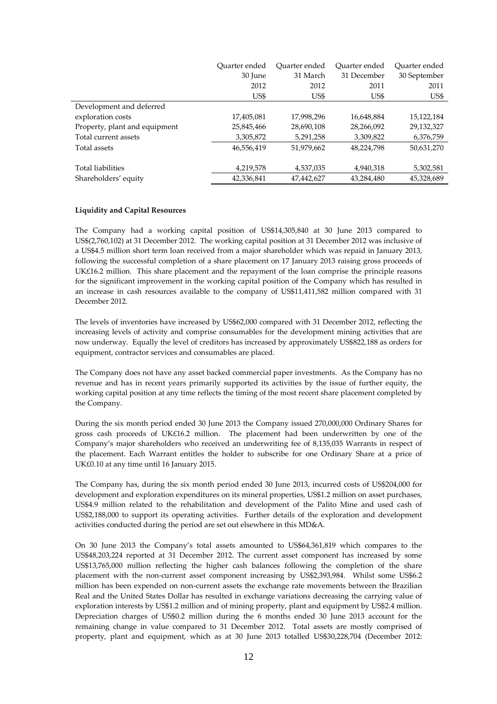|                               | Ouarter ended | Ouarter ended | Ouarter ended | Ouarter ended |
|-------------------------------|---------------|---------------|---------------|---------------|
|                               | 30 June       | 31 March      | 31 December   | 30 September  |
|                               | 2012          | 2012          | 2011          | 2011          |
|                               | US\$          | US\$          | US\$          | US\$          |
| Development and deferred      |               |               |               |               |
| exploration costs             | 17,405,081    | 17,998,296    | 16,648,884    | 15,122,184    |
| Property, plant and equipment | 25,845,466    | 28,690,108    | 28,266,092    | 29,132,327    |
| Total current assets          | 3,305,872     | 5,291,258     | 3,309,822     | 6,376,759     |
| Total assets                  | 46,556,419    | 51,979,662    | 48,224,798    | 50,631,270    |
| Total liabilities             | 4,219,578     | 4,537,035     | 4,940,318     | 5,302,581     |
| Shareholders' equity          | 42,336,841    | 47,442,627    | 43,284,480    | 45,328,689    |

#### **Liquidity and Capital Resources**

The Company had a working capital position of US\$14,305,840 at 30 June 2013 compared to US\$(2,760,102) at 31 December 2012. The working capital position at 31 December 2012 was inclusive of a US\$4.5 million short term loan received from a major shareholder which was repaid in January 2013, following the successful completion of a share placement on 17 January 2013 raising gross proceeds of UK£16.2 million. This share placement and the repayment of the loan comprise the principle reasons for the significant improvement in the working capital position of the Company which has resulted in an increase in cash resources available to the company of US\$11,411,582 million compared with 31 December 2012*.* 

The levels of inventories have increased by US\$62,000 compared with 31 December 2012, reflecting the increasing levels of activity and comprise consumables for the development mining activities that are now underway. Equally the level of creditors has increased by approximately US\$822,188 as orders for equipment, contractor services and consumables are placed.

The Company does not have any asset backed commercial paper investments. As the Company has no revenue and has in recent years primarily supported its activities by the issue of further equity, the working capital position at any time reflects the timing of the most recent share placement completed by the Company.

During the six month period ended 30 June 2013 the Company issued 270,000,000 Ordinary Shares for gross cash proceeds of UK£16.2 million. The placement had been underwritten by one of the Company's major shareholders who received an underwriting fee of 8,135,035 Warrants in respect of the placement. Each Warrant entitles the holder to subscribe for one Ordinary Share at a price of UK£0.10 at any time until 16 January 2015.

The Company has, during the six month period ended 30 June 2013, incurred costs of US\$204,000 for development and exploration expenditures on its mineral properties, US\$1.2 million on asset purchases, US\$4.9 million related to the rehabilitation and development of the Palito Mine and used cash of US\$2,188,000 to support its operating activities. Further details of the exploration and development activities conducted during the period are set out elsewhere in this MD&A.

On 30 June 2013 the Company's total assets amounted to US\$64,361,819 which compares to the US\$48,203,224 reported at 31 December 2012. The current asset component has increased by some US\$13,765,000 million reflecting the higher cash balances following the completion of the share placement with the non-current asset component increasing by US\$2,393,984. Whilst some US\$6.2 million has been expended on non-current assets the exchange rate movements between the Brazilian Real and the United States Dollar has resulted in exchange variations decreasing the carrying value of exploration interests by US\$1.2 million and of mining property, plant and equipment by US\$2.4 million. Depreciation charges of US\$0.2 million during the 6 months ended 30 June 2013 account for the remaining change in value compared to 31 December 2012. Total assets are mostly comprised of property, plant and equipment, which as at 30 June 2013 totalled US\$30,228,704 (December 2012: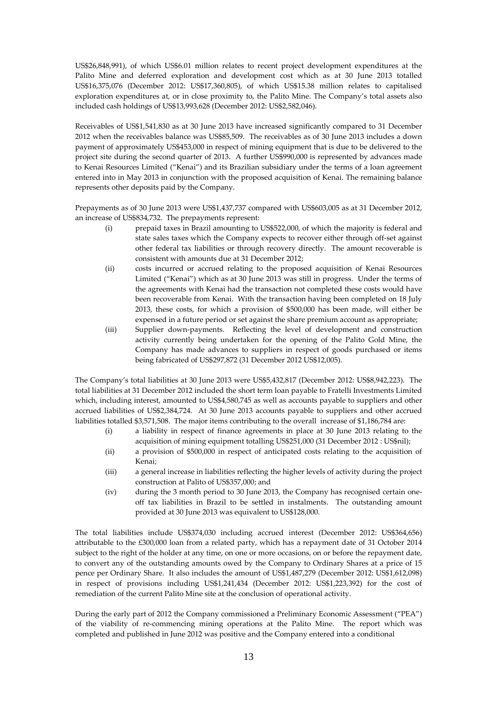US\$26,848,991), of which US\$6.01 million relates to recent project development expenditures at the Palito Mine and deferred exploration and development cost which as at 30 June 2013 totalled US\$16,375,076 (December 2012: US\$17,360,805), of which US\$15.38 million relates to capitalised exploration expenditures at, or in close proximity to, the Palito Mine. The Company's total assets also included cash holdings of US\$13,993,628 (December 2012: US\$2,582,046).

Receivables of US\$1,541,830 as at 30 June 2013 have increased significantly compared to 31 December 2012 when the receivables balance was US\$85,509. The receivables as of 30 June 2013 includes a down payment of approximately US\$453,000 in respect of mining equipment that is due to be delivered to the project site during the second quarter of 2013. A further US\$990,000 is represented by advances made to Kenai Resources Limited ("Kenai") and its Brazilian subsidiary under the terms of a loan agreement entered into in May 2013 in conjunction with the proposed acquisition of Kenai. The remaining balance represents other deposits paid by the Company.

Prepayments as of 30 June 2013 were US\$1,437,737 compared with US\$603,005 as at 31 December 2012, an increase of US\$834,732. The prepayments represent:

- (i) prepaid taxes in Brazil amounting to US\$522,000, of which the majority is federal and state sales taxes which the Company expects to recover either through off-set against other federal tax liabilities or through recovery directly. The amount recoverable is consistent with amounts due at 31 December 2012;
- (ii) costs incurred or accrued relating to the proposed acquisition of Kenai Resources Limited ("Kenai") which as at 30 June 2013 was still in progress. Under the terms of the agreements with Kenai had the transaction not completed these costs would have been recoverable from Kenai. With the transaction having been completed on 18 July 2013, these costs, for which a provision of \$500,000 has been made, will either be expensed in a future period or set against the share premium account as appropriate;
- (iii) Supplier down-payments. Reflecting the level of development and construction activity currently being undertaken for the opening of the Palito Gold Mine, the Company has made advances to suppliers in respect of goods purchased or items being fabricated of US\$297,872 (31 December 2012 US\$12,005).

The Company's total liabilities at 30 June 2013 were US\$5,432,817 (December 2012: US\$8,942,223). The total liabilities at 31 December 2012 included the short term loan payable to Fratelli Investments Limited which, including interest, amounted to US\$4,580,745 as well as accounts payable to suppliers and other accrued liabilities of US\$2,384,724. At 30 June 2013 accounts payable to suppliers and other accrued liabilities totalled \$3,571,508. The major items contributing to the overall increase of \$1,186,784 are:

- (i) a liability in respect of finance agreements in place at 30 June 2013 relating to the acquisition of mining equipment totalling US\$251,000 (31 December 2012 : US\$nil);
- (ii) a provision of \$500,000 in respect of anticipated costs relating to the acquisition of Kenai;
- (iii) a general increase in liabilities reflecting the higher levels of activity during the project construction at Palito of US\$357,000; and
- (iv) during the 3 month period to 30 June 2013, the Company has recognised certain oneoff tax liabilities in Brazil to be settled in instalments. The outstanding amount provided at 30 June 2013 was equivalent to US\$128,000.

The total liabilities include US\$374,030 including accrued interest (December 2012: US\$364,656) attributable to the £300,000 loan from a related party, which has a repayment date of 31 October 2014 subject to the right of the holder at any time, on one or more occasions, on or before the repayment date, to convert any of the outstanding amounts owed by the Company to Ordinary Shares at a price of 15 pence per Ordinary Share. It also includes the amount of US\$1,487,279 (December 2012: US\$1,612,098) in respect of provisions including US\$1,241,434 (December 2012: US\$1,223,392) for the cost of remediation of the current Palito Mine site at the conclusion of operational activity.

During the early part of 2012 the Company commissioned a Preliminary Economic Assessment ("PEA") of the viability of re-commencing mining operations at the Palito Mine. The report which was completed and published in June 2012 was positive and the Company entered into a conditional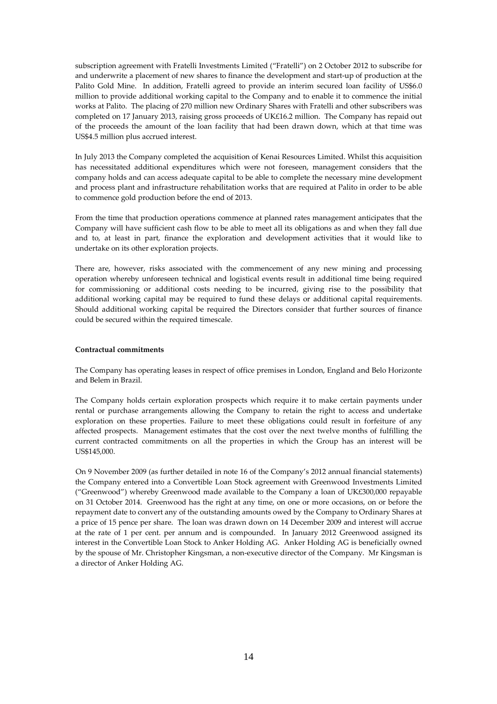subscription agreement with Fratelli Investments Limited ("Fratelli") on 2 October 2012 to subscribe for and underwrite a placement of new shares to finance the development and start-up of production at the Palito Gold Mine. In addition, Fratelli agreed to provide an interim secured loan facility of US\$6.0 million to provide additional working capital to the Company and to enable it to commence the initial works at Palito. The placing of 270 million new Ordinary Shares with Fratelli and other subscribers was completed on 17 January 2013, raising gross proceeds of UK£16.2 million. The Company has repaid out of the proceeds the amount of the loan facility that had been drawn down, which at that time was US\$4.5 million plus accrued interest.

In July 2013 the Company completed the acquisition of Kenai Resources Limited. Whilst this acquisition has necessitated additional expenditures which were not foreseen, management considers that the company holds and can access adequate capital to be able to complete the necessary mine development and process plant and infrastructure rehabilitation works that are required at Palito in order to be able to commence gold production before the end of 2013.

From the time that production operations commence at planned rates management anticipates that the Company will have sufficient cash flow to be able to meet all its obligations as and when they fall due and to, at least in part, finance the exploration and development activities that it would like to undertake on its other exploration projects.

There are, however, risks associated with the commencement of any new mining and processing operation whereby unforeseen technical and logistical events result in additional time being required for commissioning or additional costs needing to be incurred, giving rise to the possibility that additional working capital may be required to fund these delays or additional capital requirements. Should additional working capital be required the Directors consider that further sources of finance could be secured within the required timescale.

## **Contractual commitments**

The Company has operating leases in respect of office premises in London, England and Belo Horizonte and Belem in Brazil.

The Company holds certain exploration prospects which require it to make certain payments under rental or purchase arrangements allowing the Company to retain the right to access and undertake exploration on these properties. Failure to meet these obligations could result in forfeiture of any affected prospects. Management estimates that the cost over the next twelve months of fulfilling the current contracted commitments on all the properties in which the Group has an interest will be US\$145,000.

On 9 November 2009 (as further detailed in note 16 of the Company's 2012 annual financial statements) the Company entered into a Convertible Loan Stock agreement with Greenwood Investments Limited ("Greenwood") whereby Greenwood made available to the Company a loan of UK£300,000 repayable on 31 October 2014. Greenwood has the right at any time, on one or more occasions, on or before the repayment date to convert any of the outstanding amounts owed by the Company to Ordinary Shares at a price of 15 pence per share. The loan was drawn down on 14 December 2009 and interest will accrue at the rate of 1 per cent. per annum and is compounded. In January 2012 Greenwood assigned its interest in the Convertible Loan Stock to Anker Holding AG. Anker Holding AG is beneficially owned by the spouse of Mr. Christopher Kingsman, a non-executive director of the Company. Mr Kingsman is a director of Anker Holding AG.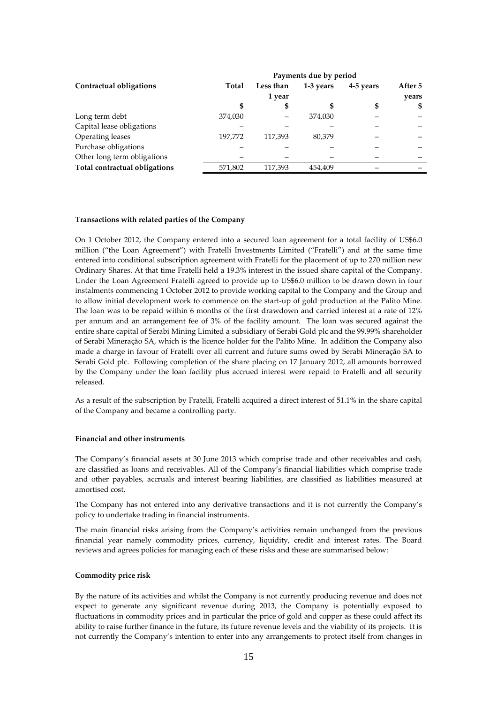|                               | Payments due by period |           |           |           |         |
|-------------------------------|------------------------|-----------|-----------|-----------|---------|
| Contractual obligations       | Total                  | Less than | 1-3 years | 4-5 years | After 5 |
|                               |                        | 1 year    |           |           | years   |
|                               | \$                     | \$        |           | \$        | \$      |
| Long term debt                | 374,030                |           | 374,030   |           |         |
| Capital lease obligations     |                        |           |           |           |         |
| Operating leases              | 197,772                | 117,393   | 80,379    |           |         |
| Purchase obligations          |                        |           |           |           |         |
| Other long term obligations   |                        |           |           |           |         |
| Total contractual obligations | 571,802                | 117,393   | 454.409   |           |         |

#### **Transactions with related parties of the Company**

On 1 October 2012, the Company entered into a secured loan agreement for a total facility of US\$6.0 million ("the Loan Agreement") with Fratelli Investments Limited ("Fratelli") and at the same time entered into conditional subscription agreement with Fratelli for the placement of up to 270 million new Ordinary Shares. At that time Fratelli held a 19.3% interest in the issued share capital of the Company. Under the Loan Agreement Fratelli agreed to provide up to US\$6.0 million to be drawn down in four instalments commencing 1 October 2012 to provide working capital to the Company and the Group and to allow initial development work to commence on the start-up of gold production at the Palito Mine. The loan was to be repaid within 6 months of the first drawdown and carried interest at a rate of 12% per annum and an arrangement fee of 3% of the facility amount. The loan was secured against the entire share capital of Serabi Mining Limited a subsidiary of Serabi Gold plc and the 99.99% shareholder of Serabi Mineraçăo SA, which is the licence holder for the Palito Mine. In addition the Company also made a charge in favour of Fratelli over all current and future sums owed by Serabi Mineraçăo SA to Serabi Gold plc. Following completion of the share placing on 17 January 2012, all amounts borrowed by the Company under the loan facility plus accrued interest were repaid to Fratelli and all security released.

As a result of the subscription by Fratelli, Fratelli acquired a direct interest of 51.1% in the share capital of the Company and became a controlling party.

#### **Financial and other instruments**

The Company's financial assets at 30 June 2013 which comprise trade and other receivables and cash, are classified as loans and receivables. All of the Company's financial liabilities which comprise trade and other payables, accruals and interest bearing liabilities, are classified as liabilities measured at amortised cost.

The Company has not entered into any derivative transactions and it is not currently the Company's policy to undertake trading in financial instruments.

The main financial risks arising from the Company's activities remain unchanged from the previous financial year namely commodity prices, currency, liquidity, credit and interest rates. The Board reviews and agrees policies for managing each of these risks and these are summarised below:

## **Commodity price risk**

By the nature of its activities and whilst the Company is not currently producing revenue and does not expect to generate any significant revenue during 2013, the Company is potentially exposed to fluctuations in commodity prices and in particular the price of gold and copper as these could affect its ability to raise further finance in the future, its future revenue levels and the viability of its projects. It is not currently the Company's intention to enter into any arrangements to protect itself from changes in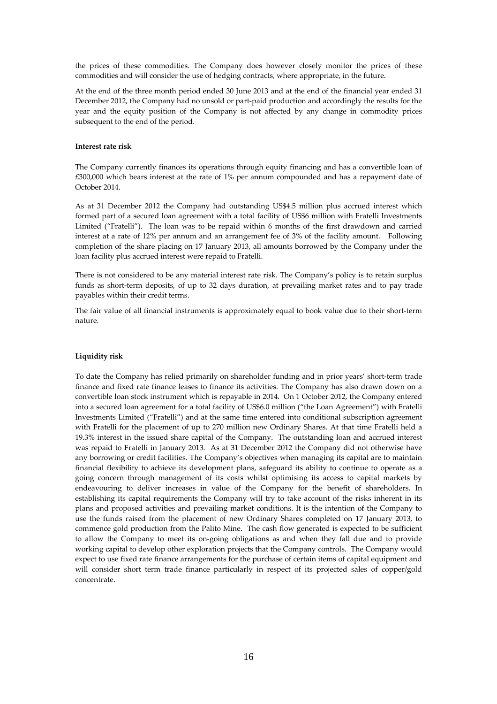the prices of these commodities. The Company does however closely monitor the prices of these commodities and will consider the use of hedging contracts, where appropriate, in the future.

At the end of the three month period ended 30 June 2013 and at the end of the financial year ended 31 December 2012, the Company had no unsold or part-paid production and accordingly the results for the year and the equity position of the Company is not affected by any change in commodity prices subsequent to the end of the period.

#### **Interest rate risk**

The Company currently finances its operations through equity financing and has a convertible loan of £300,000 which bears interest at the rate of 1% per annum compounded and has a repayment date of October 2014.

As at 31 December 2012 the Company had outstanding US\$4.5 million plus accrued interest which formed part of a secured loan agreement with a total facility of US\$6 million with Fratelli Investments Limited ("Fratelli"). The loan was to be repaid within 6 months of the first drawdown and carried interest at a rate of 12% per annum and an arrangement fee of 3% of the facility amount. Following completion of the share placing on 17 January 2013, all amounts borrowed by the Company under the loan facility plus accrued interest were repaid to Fratelli.

There is not considered to be any material interest rate risk. The Company's policy is to retain surplus funds as short-term deposits, of up to 32 days duration, at prevailing market rates and to pay trade payables within their credit terms.

The fair value of all financial instruments is approximately equal to book value due to their short-term nature.

#### **Liquidity risk**

To date the Company has relied primarily on shareholder funding and in prior years' short-term trade finance and fixed rate finance leases to finance its activities. The Company has also drawn down on a convertible loan stock instrument which is repayable in 2014. On 1 October 2012, the Company entered into a secured loan agreement for a total facility of US\$6.0 million ("the Loan Agreement") with Fratelli Investments Limited ("Fratelli") and at the same time entered into conditional subscription agreement with Fratelli for the placement of up to 270 million new Ordinary Shares. At that time Fratelli held a 19.3% interest in the issued share capital of the Company. The outstanding loan and accrued interest was repaid to Fratelli in January 2013. As at 31 December 2012 the Company did not otherwise have any borrowing or credit facilities. The Company's objectives when managing its capital are to maintain financial flexibility to achieve its development plans, safeguard its ability to continue to operate as a going concern through management of its costs whilst optimising its access to capital markets by endeavouring to deliver increases in value of the Company for the benefit of shareholders. In establishing its capital requirements the Company will try to take account of the risks inherent in its plans and proposed activities and prevailing market conditions. It is the intention of the Company to use the funds raised from the placement of new Ordinary Shares completed on 17 January 2013, to commence gold production from the Palito Mine. The cash flow generated is expected to be sufficient to allow the Company to meet its on-going obligations as and when they fall due and to provide working capital to develop other exploration projects that the Company controls. The Company would expect to use fixed rate finance arrangements for the purchase of certain items of capital equipment and will consider short term trade finance particularly in respect of its projected sales of copper/gold concentrate.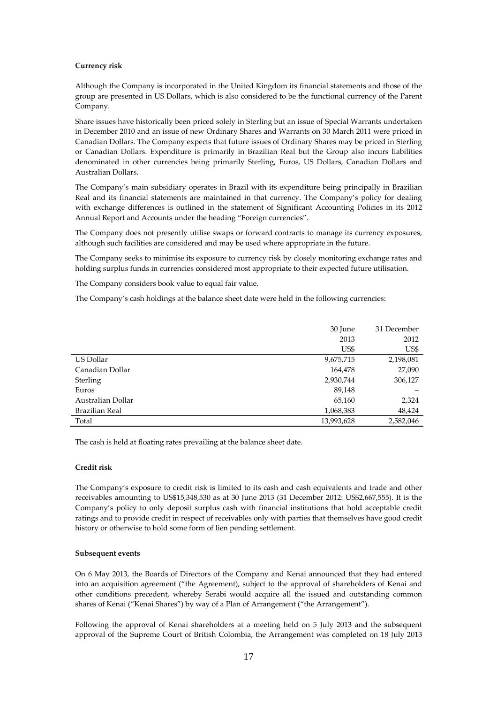## **Currency risk**

Although the Company is incorporated in the United Kingdom its financial statements and those of the group are presented in US Dollars, which is also considered to be the functional currency of the Parent Company.

Share issues have historically been priced solely in Sterling but an issue of Special Warrants undertaken in December 2010 and an issue of new Ordinary Shares and Warrants on 30 March 2011 were priced in Canadian Dollars. The Company expects that future issues of Ordinary Shares may be priced in Sterling or Canadian Dollars. Expenditure is primarily in Brazilian Real but the Group also incurs liabilities denominated in other currencies being primarily Sterling, Euros, US Dollars, Canadian Dollars and Australian Dollars.

The Company's main subsidiary operates in Brazil with its expenditure being principally in Brazilian Real and its financial statements are maintained in that currency. The Company's policy for dealing with exchange differences is outlined in the statement of Significant Accounting Policies in its 2012 Annual Report and Accounts under the heading "Foreign currencies".

The Company does not presently utilise swaps or forward contracts to manage its currency exposures, although such facilities are considered and may be used where appropriate in the future.

The Company seeks to minimise its exposure to currency risk by closely monitoring exchange rates and holding surplus funds in currencies considered most appropriate to their expected future utilisation.

The Company considers book value to equal fair value.

The Company's cash holdings at the balance sheet date were held in the following currencies:

|                   | 30 June    | 31 December |
|-------------------|------------|-------------|
|                   | 2013       | 2012        |
|                   | US\$       | US\$        |
| US Dollar         | 9,675,715  | 2,198,081   |
| Canadian Dollar   | 164,478    | 27,090      |
| Sterling          | 2,930,744  | 306,127     |
| Euros             | 89,148     |             |
| Australian Dollar | 65,160     | 2,324       |
| Brazilian Real    | 1,068,383  | 48,424      |
| Total             | 13,993,628 | 2,582,046   |

The cash is held at floating rates prevailing at the balance sheet date.

### **Credit risk**

The Company's exposure to credit risk is limited to its cash and cash equivalents and trade and other receivables amounting to US\$15,348,530 as at 30 June 2013 (31 December 2012: US\$2,667,555). It is the Company's policy to only deposit surplus cash with financial institutions that hold acceptable credit ratings and to provide credit in respect of receivables only with parties that themselves have good credit history or otherwise to hold some form of lien pending settlement.

## **Subsequent events**

On 6 May 2013, the Boards of Directors of the Company and Kenai announced that they had entered into an acquisition agreement ("the Agreement), subject to the approval of shareholders of Kenai and other conditions precedent, whereby Serabi would acquire all the issued and outstanding common shares of Kenai ("Kenai Shares") by way of a Plan of Arrangement ("the Arrangement").

Following the approval of Kenai shareholders at a meeting held on 5 July 2013 and the subsequent approval of the Supreme Court of British Colombia, the Arrangement was completed on 18 July 2013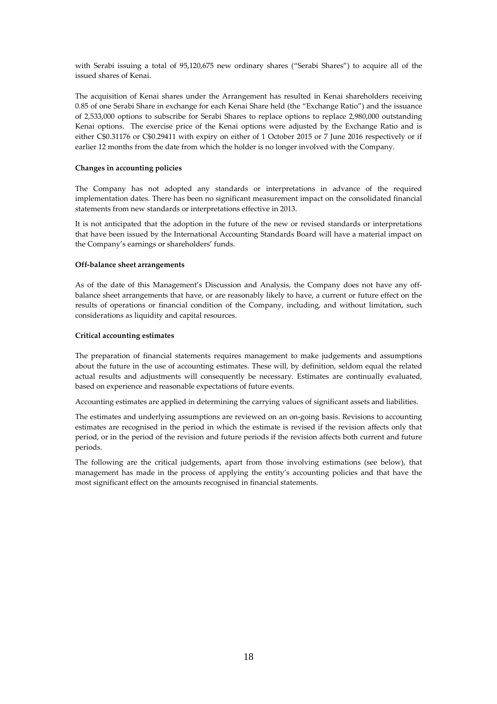with Serabi issuing a total of 95,120,675 new ordinary shares ("Serabi Shares") to acquire all of the issued shares of Kenai.

The acquisition of Kenai shares under the Arrangement has resulted in Kenai shareholders receiving 0.85 of one Serabi Share in exchange for each Kenai Share held (the "Exchange Ratio") and the issuance of 2,533,000 options to subscribe for Serabi Shares to replace options to replace 2,980,000 outstanding Kenai options. The exercise price of the Kenai options were adjusted by the Exchange Ratio and is either C\$0.31176 or C\$0.29411 with expiry on either of 1 October 2015 or 7 June 2016 respectively or if earlier 12 months from the date from which the holder is no longer involved with the Company.

## **Changes in accounting policies**

The Company has not adopted any standards or interpretations in advance of the required implementation dates. There has been no significant measurement impact on the consolidated financial statements from new standards or interpretations effective in 2013.

It is not anticipated that the adoption in the future of the new or revised standards or interpretations that have been issued by the International Accounting Standards Board will have a material impact on the Company's earnings or shareholders' funds.

## **Off-balance sheet arrangements**

As of the date of this Management's Discussion and Analysis, the Company does not have any offbalance sheet arrangements that have, or are reasonably likely to have, a current or future effect on the results of operations or financial condition of the Company, including, and without limitation, such considerations as liquidity and capital resources.

## **Critical accounting estimates**

The preparation of financial statements requires management to make judgements and assumptions about the future in the use of accounting estimates. These will, by definition, seldom equal the related actual results and adjustments will consequently be necessary. Estimates are continually evaluated, based on experience and reasonable expectations of future events.

Accounting estimates are applied in determining the carrying values of significant assets and liabilities.

The estimates and underlying assumptions are reviewed on an on-going basis. Revisions to accounting estimates are recognised in the period in which the estimate is revised if the revision affects only that period, or in the period of the revision and future periods if the revision affects both current and future periods.

The following are the critical judgements, apart from those involving estimations (see below), that management has made in the process of applying the entity's accounting policies and that have the most significant effect on the amounts recognised in financial statements.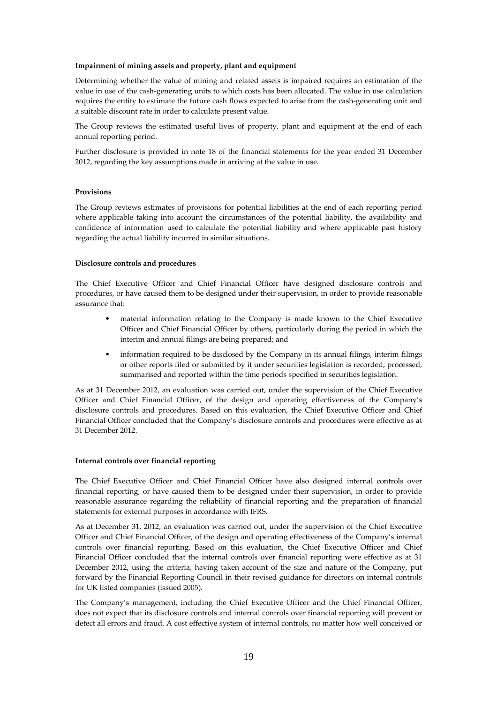#### **Impairment of mining assets and property, plant and equipment**

Determining whether the value of mining and related assets is impaired requires an estimation of the value in use of the cash-generating units to which costs has been allocated. The value in use calculation requires the entity to estimate the future cash flows expected to arise from the cash-generating unit and a suitable discount rate in order to calculate present value.

The Group reviews the estimated useful lives of property, plant and equipment at the end of each annual reporting period.

Further disclosure is provided in note 18 of the financial statements for the year ended 31 December 2012, regarding the key assumptions made in arriving at the value in use.

#### **Provisions**

The Group reviews estimates of provisions for potential liabilities at the end of each reporting period where applicable taking into account the circumstances of the potential liability, the availability and confidence of information used to calculate the potential liability and where applicable past history regarding the actual liability incurred in similar situations.

#### **Disclosure controls and procedures**

The Chief Executive Officer and Chief Financial Officer have designed disclosure controls and procedures, or have caused them to be designed under their supervision, in order to provide reasonable assurance that:

- material information relating to the Company is made known to the Chief Executive Officer and Chief Financial Officer by others, particularly during the period in which the interim and annual filings are being prepared; and
- information required to be disclosed by the Company in its annual filings, interim filings or other reports filed or submitted by it under securities legislation is recorded, processed, summarised and reported within the time periods specified in securities legislation.

As at 31 December 2012, an evaluation was carried out, under the supervision of the Chief Executive Officer and Chief Financial Officer, of the design and operating effectiveness of the Company's disclosure controls and procedures. Based on this evaluation, the Chief Executive Officer and Chief Financial Officer concluded that the Company's disclosure controls and procedures were effective as at 31 December 2012.

#### **Internal controls over financial reporting**

The Chief Executive Officer and Chief Financial Officer have also designed internal controls over financial reporting, or have caused them to be designed under their supervision, in order to provide reasonable assurance regarding the reliability of financial reporting and the preparation of financial statements for external purposes in accordance with IFRS.

As at December 31, 2012, an evaluation was carried out, under the supervision of the Chief Executive Officer and Chief Financial Officer, of the design and operating effectiveness of the Company's internal controls over financial reporting. Based on this evaluation, the Chief Executive Officer and Chief Financial Officer concluded that the internal controls over financial reporting were effective as at 31 December 2012, using the criteria, having taken account of the size and nature of the Company, put forward by the Financial Reporting Council in their revised guidance for directors on internal controls for UK listed companies (issued 2005).

The Company's management, including the Chief Executive Officer and the Chief Financial Officer, does not expect that its disclosure controls and internal controls over financial reporting will prevent or detect all errors and fraud. A cost effective system of internal controls, no matter how well conceived or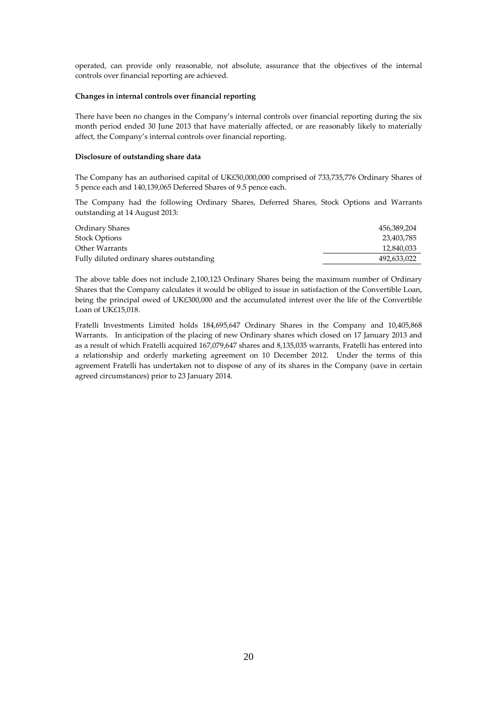operated, can provide only reasonable, not absolute, assurance that the objectives of the internal controls over financial reporting are achieved.

### **Changes in internal controls over financial reporting**

There have been no changes in the Company's internal controls over financial reporting during the six month period ended 30 June 2013 that have materially affected, or are reasonably likely to materially affect, the Company's internal controls over financial reporting.

#### **Disclosure of outstanding share data**

The Company has an authorised capital of UK£50,000,000 comprised of 733,735,776 Ordinary Shares of 5 pence each and 140,139,065 Deferred Shares of 9.5 pence each.

The Company had the following Ordinary Shares, Deferred Shares, Stock Options and Warrants outstanding at 14 August 2013:

| Ordinary Shares                           | 456,389,204 |
|-------------------------------------------|-------------|
| <b>Stock Options</b>                      | 23,403,785  |
| Other Warrants                            | 12,840,033  |
| Fully diluted ordinary shares outstanding | 492,633,022 |

The above table does not include 2,100,123 Ordinary Shares being the maximum number of Ordinary Shares that the Company calculates it would be obliged to issue in satisfaction of the Convertible Loan, being the principal owed of UK£300,000 and the accumulated interest over the life of the Convertible Loan of UK£15,018.

Fratelli Investments Limited holds 184,695,647 Ordinary Shares in the Company and 10,405,868 Warrants. In anticipation of the placing of new Ordinary shares which closed on 17 January 2013 and as a result of which Fratelli acquired 167,079,647 shares and 8,135,035 warrants, Fratelli has entered into a relationship and orderly marketing agreement on 10 December 2012. Under the terms of this agreement Fratelli has undertaken not to dispose of any of its shares in the Company (save in certain agreed circumstances) prior to 23 January 2014.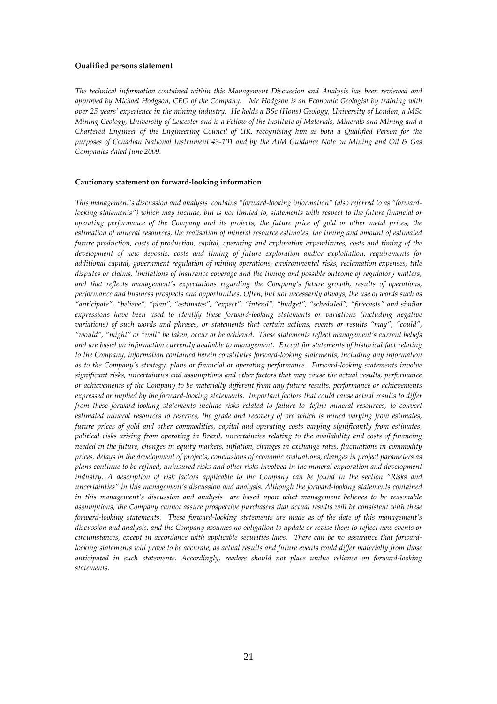#### **Qualified persons statement**

*The technical information contained within this Management Discussion and Analysis has been reviewed and approved by Michael Hodgson, CEO of the Company. Mr Hodgson is an Economic Geologist by training with over 25 years' experience in the mining industry. He holds a BSc (Hons) Geology, University of London, a MSc Mining Geology, University of Leicester and is a Fellow of the Institute of Materials, Minerals and Mining and a Chartered Engineer of the Engineering Council of UK, recognising him as both a Qualified Person for the purposes of Canadian National Instrument 43-101 and by the AIM Guidance Note on Mining and Oil & Gas Companies dated June 2009.* 

#### **Cautionary statement on forward-looking information**

*This management's discussion and analysis contains "forward-looking information" (also referred to as "forwardlooking statements") which may include, but is not limited to, statements with respect to the future financial or operating performance of the Company and its projects, the future price of gold or other metal prices, the estimation of mineral resources, the realisation of mineral resource estimates, the timing and amount of estimated future production, costs of production, capital, operating and exploration expenditures, costs and timing of the development of new deposits, costs and timing of future exploration and/or exploitation, requirements for additional capital, government regulation of mining operations, environmental risks, reclamation expenses, title disputes or claims, limitations of insurance coverage and the timing and possible outcome of regulatory matters, and that reflects management's expectations regarding the Company's future growth, results of operations, performance and business prospects and opportunities. Often, but not necessarily always, the use of words such as "anticipate", "believe", "plan", "estimates", "expect", "intend", "budget", "scheduled", "forecasts" and similar expressions have been used to identify these forward-looking statements or variations (including negative variations) of such words and phrases, or statements that certain actions, events or results "may", "could", "would", "might" or "will" be taken, occur or be achieved. These statements reflect management's current beliefs and are based on information currently available to management. Except for statements of historical fact relating to the Company, information contained herein constitutes forward-looking statements, including any information as to the Company's strategy, plans or financial or operating performance. Forward-looking statements involve significant risks, uncertainties and assumptions and other factors that may cause the actual results, performance or achievements of the Company to be materially different from any future results, performance or achievements expressed or implied by the forward-looking statements. Important factors that could cause actual results to differ from these forward-looking statements include risks related to failure to define mineral resources, to convert estimated mineral resources to reserves, the grade and recovery of ore which is mined varying from estimates, future prices of gold and other commodities, capital and operating costs varying significantly from estimates, political risks arising from operating in Brazil, uncertainties relating to the availability and costs of financing needed in the future, changes in equity markets, inflation, changes in exchange rates, fluctuations in commodity prices, delays in the development of projects, conclusions of economic evaluations, changes in project parameters as plans continue to be refined, uninsured risks and other risks involved in the mineral exploration and development industry. A description of risk factors applicable to the Company can be found in the section "Risks and uncertainties" in this management's discussion and analysis. Although the forward-looking statements contained in this management's discussion and analysis are based upon what management believes to be reasonable assumptions, the Company cannot assure prospective purchasers that actual results will be consistent with these forward-looking statements. These forward-looking statements are made as of the date of this management's discussion and analysis, and the Company assumes no obligation to update or revise them to reflect new events or circumstances, except in accordance with applicable securities laws. There can be no assurance that forwardlooking statements will prove to be accurate, as actual results and future events could differ materially from those anticipated in such statements. Accordingly, readers should not place undue reliance on forward-looking statements.*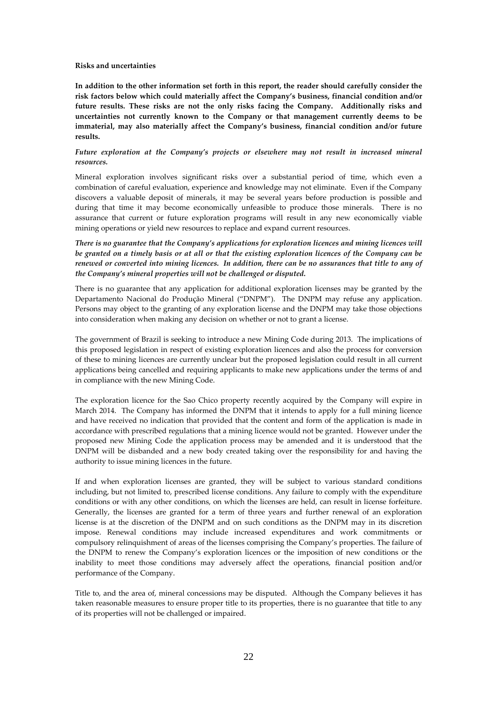#### **Risks and uncertainties**

**In addition to the other information set forth in this report, the reader should carefully consider the risk factors below which could materially affect the Company's business, financial condition and/or future results. These risks are not the only risks facing the Company. Additionally risks and uncertainties not currently known to the Company or that management currently deems to be immaterial, may also materially affect the Company's business, financial condition and/or future results.** 

## *Future exploration at the Company's projects or elsewhere may not result in increased mineral resources.*

Mineral exploration involves significant risks over a substantial period of time, which even a combination of careful evaluation, experience and knowledge may not eliminate. Even if the Company discovers a valuable deposit of minerals, it may be several years before production is possible and during that time it may become economically unfeasible to produce those minerals. There is no assurance that current or future exploration programs will result in any new economically viable mining operations or yield new resources to replace and expand current resources.

*There is no guarantee that the Company's applications for exploration licences and mining licences will be granted on a timely basis or at all or that the existing exploration licences of the Company can be renewed or converted into mining licences. In addition, there can be no assurances that title to any of the Company's mineral properties will not be challenged or disputed.* 

There is no guarantee that any application for additional exploration licenses may be granted by the Departamento Nacional do Produçăo Mineral ("DNPM"). The DNPM may refuse any application. Persons may object to the granting of any exploration license and the DNPM may take those objections into consideration when making any decision on whether or not to grant a license.

The government of Brazil is seeking to introduce a new Mining Code during 2013. The implications of this proposed legislation in respect of existing exploration licences and also the process for conversion of these to mining licences are currently unclear but the proposed legislation could result in all current applications being cancelled and requiring applicants to make new applications under the terms of and in compliance with the new Mining Code.

The exploration licence for the Sao Chico property recently acquired by the Company will expire in March 2014. The Company has informed the DNPM that it intends to apply for a full mining licence and have received no indication that provided that the content and form of the application is made in accordance with prescribed regulations that a mining licence would not be granted. However under the proposed new Mining Code the application process may be amended and it is understood that the DNPM will be disbanded and a new body created taking over the responsibility for and having the authority to issue mining licences in the future.

If and when exploration licenses are granted, they will be subject to various standard conditions including, but not limited to, prescribed license conditions. Any failure to comply with the expenditure conditions or with any other conditions, on which the licenses are held, can result in license forfeiture. Generally, the licenses are granted for a term of three years and further renewal of an exploration license is at the discretion of the DNPM and on such conditions as the DNPM may in its discretion impose. Renewal conditions may include increased expenditures and work commitments or compulsory relinquishment of areas of the licenses comprising the Company's properties. The failure of the DNPM to renew the Company's exploration licences or the imposition of new conditions or the inability to meet those conditions may adversely affect the operations, financial position and/or performance of the Company.

Title to, and the area of, mineral concessions may be disputed. Although the Company believes it has taken reasonable measures to ensure proper title to its properties, there is no guarantee that title to any of its properties will not be challenged or impaired.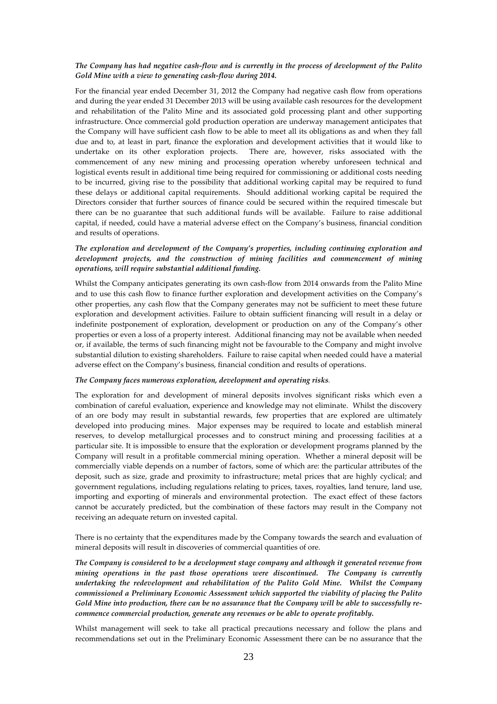## *The Company has had negative cash-flow and is currently in the process of development of the Palito Gold Mine with a view to generating cash-flow during 2014.*

For the financial year ended December 31, 2012 the Company had negative cash flow from operations and during the year ended 31 December 2013 will be using available cash resources for the development and rehabilitation of the Palito Mine and its associated gold processing plant and other supporting infrastructure. Once commercial gold production operation are underway management anticipates that the Company will have sufficient cash flow to be able to meet all its obligations as and when they fall due and to, at least in part, finance the exploration and development activities that it would like to undertake on its other exploration projects. There are, however, risks associated with the commencement of any new mining and processing operation whereby unforeseen technical and logistical events result in additional time being required for commissioning or additional costs needing to be incurred, giving rise to the possibility that additional working capital may be required to fund these delays or additional capital requirements. Should additional working capital be required the Directors consider that further sources of finance could be secured within the required timescale but there can be no guarantee that such additional funds will be available. Failure to raise additional capital, if needed, could have a material adverse effect on the Company's business, financial condition and results of operations.

## *The exploration and development of the Company's properties, including continuing exploration and development projects, and the construction of mining facilities and commencement of mining operations, will require substantial additional funding.*

Whilst the Company anticipates generating its own cash-flow from 2014 onwards from the Palito Mine and to use this cash flow to finance further exploration and development activities on the Company's other properties, any cash flow that the Company generates may not be sufficient to meet these future exploration and development activities. Failure to obtain sufficient financing will result in a delay or indefinite postponement of exploration, development or production on any of the Company's other properties or even a loss of a property interest. Additional financing may not be available when needed or, if available, the terms of such financing might not be favourable to the Company and might involve substantial dilution to existing shareholders. Failure to raise capital when needed could have a material adverse effect on the Company's business, financial condition and results of operations.

#### *The Company faces numerous exploration, development and operating risks.*

The exploration for and development of mineral deposits involves significant risks which even a combination of careful evaluation, experience and knowledge may not eliminate. Whilst the discovery of an ore body may result in substantial rewards, few properties that are explored are ultimately developed into producing mines. Major expenses may be required to locate and establish mineral reserves, to develop metallurgical processes and to construct mining and processing facilities at a particular site. It is impossible to ensure that the exploration or development programs planned by the Company will result in a profitable commercial mining operation. Whether a mineral deposit will be commercially viable depends on a number of factors, some of which are: the particular attributes of the deposit, such as size, grade and proximity to infrastructure; metal prices that are highly cyclical; and government regulations, including regulations relating to prices, taxes, royalties, land tenure, land use, importing and exporting of minerals and environmental protection. The exact effect of these factors cannot be accurately predicted, but the combination of these factors may result in the Company not receiving an adequate return on invested capital.

There is no certainty that the expenditures made by the Company towards the search and evaluation of mineral deposits will result in discoveries of commercial quantities of ore.

*The Company is considered to be a development stage company and although it generated revenue from mining operations in the past those operations were discontinued. The Company is currently undertaking the redevelopment and rehabilitation of the Palito Gold Mine. Whilst the Company commissioned a Preliminary Economic Assessment which supported the viability of placing the Palito Gold Mine into production, there can be no assurance that the Company will be able to successfully recommence commercial production, generate any revenues or be able to operate profitably.* 

Whilst management will seek to take all practical precautions necessary and follow the plans and recommendations set out in the Preliminary Economic Assessment there can be no assurance that the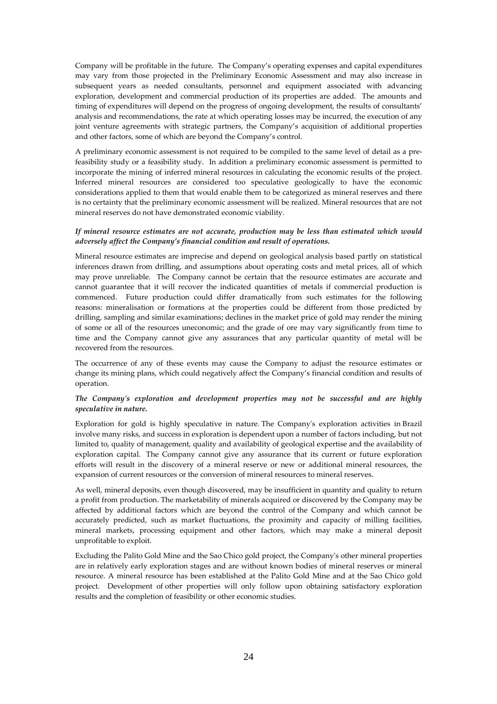Company will be profitable in the future. The Company's operating expenses and capital expenditures may vary from those projected in the Preliminary Economic Assessment and may also increase in subsequent years as needed consultants, personnel and equipment associated with advancing exploration, development and commercial production of its properties are added. The amounts and timing of expenditures will depend on the progress of ongoing development, the results of consultants' analysis and recommendations, the rate at which operating losses may be incurred, the execution of any joint venture agreements with strategic partners, the Company's acquisition of additional properties and other factors, some of which are beyond the Company's control.

A preliminary economic assessment is not required to be compiled to the same level of detail as a prefeasibility study or a feasibility study. In addition a preliminary economic assessment is permitted to incorporate the mining of inferred mineral resources in calculating the economic results of the project. Inferred mineral resources are considered too speculative geologically to have the economic considerations applied to them that would enable them to be categorized as mineral reserves and there is no certainty that the preliminary economic assessment will be realized. Mineral resources that are not mineral reserves do not have demonstrated economic viability.

## *If mineral resource estimates are not accurate, production may be less than estimated which would adversely affect the Company's financial condition and result of operations.*

Mineral resource estimates are imprecise and depend on geological analysis based partly on statistical inferences drawn from drilling, and assumptions about operating costs and metal prices, all of which may prove unreliable. The Company cannot be certain that the resource estimates are accurate and cannot guarantee that it will recover the indicated quantities of metals if commercial production is commenced. Future production could differ dramatically from such estimates for the following reasons: mineralisation or formations at the properties could be different from those predicted by drilling, sampling and similar examinations; declines in the market price of gold may render the mining of some or all of the resources uneconomic; and the grade of ore may vary significantly from time to time and the Company cannot give any assurances that any particular quantity of metal will be recovered from the resources.

The occurrence of any of these events may cause the Company to adjust the resource estimates or change its mining plans, which could negatively affect the Company's financial condition and results of operation.

## *The Company's exploration and development properties may not be successful and are highly speculative in nature.*

Exploration for gold is highly speculative in nature. The Company's exploration activities in Brazil involve many risks, and success in exploration is dependent upon a number of factors including, but not limited to, quality of management, quality and availability of geological expertise and the availability of exploration capital. The Company cannot give any assurance that its current or future exploration efforts will result in the discovery of a mineral reserve or new or additional mineral resources, the expansion of current resources or the conversion of mineral resources to mineral reserves.

As well, mineral deposits, even though discovered, may be insufficient in quantity and quality to return a profit from production. The marketability of minerals acquired or discovered by the Company may be affected by additional factors which are beyond the control of the Company and which cannot be accurately predicted, such as market fluctuations, the proximity and capacity of milling facilities, mineral markets, processing equipment and other factors, which may make a mineral deposit unprofitable to exploit.

Excluding the Palito Gold Mine and the Sao Chico gold project, the Company's other mineral properties are in relatively early exploration stages and are without known bodies of mineral reserves or mineral resource. A mineral resource has been established at the Palito Gold Mine and at the Sao Chico gold project. Development of other properties will only follow upon obtaining satisfactory exploration results and the completion of feasibility or other economic studies.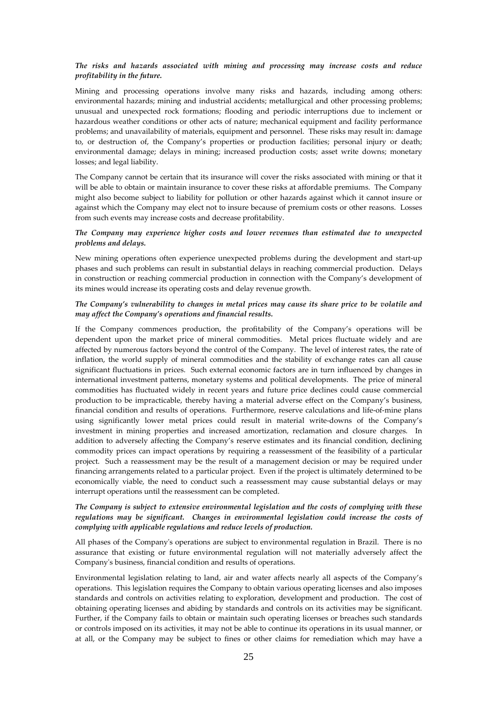## *The risks and hazards associated with mining and processing may increase costs and reduce profitability in the future.*

Mining and processing operations involve many risks and hazards, including among others: environmental hazards; mining and industrial accidents; metallurgical and other processing problems; unusual and unexpected rock formations; flooding and periodic interruptions due to inclement or hazardous weather conditions or other acts of nature; mechanical equipment and facility performance problems; and unavailability of materials, equipment and personnel. These risks may result in: damage to, or destruction of, the Company's properties or production facilities; personal injury or death; environmental damage; delays in mining; increased production costs; asset write downs; monetary losses; and legal liability.

The Company cannot be certain that its insurance will cover the risks associated with mining or that it will be able to obtain or maintain insurance to cover these risks at affordable premiums. The Company might also become subject to liability for pollution or other hazards against which it cannot insure or against which the Company may elect not to insure because of premium costs or other reasons. Losses from such events may increase costs and decrease profitability.

## *The Company may experience higher costs and lower revenues than estimated due to unexpected problems and delays.*

New mining operations often experience unexpected problems during the development and start-up phases and such problems can result in substantial delays in reaching commercial production. Delays in construction or reaching commercial production in connection with the Company's development of its mines would increase its operating costs and delay revenue growth.

## *The Company's vulnerability to changes in metal prices may cause its share price to be volatile and may affect the Company's operations and financial results.*

If the Company commences production, the profitability of the Company's operations will be dependent upon the market price of mineral commodities. Metal prices fluctuate widely and are affected by numerous factors beyond the control of the Company. The level of interest rates, the rate of inflation, the world supply of mineral commodities and the stability of exchange rates can all cause significant fluctuations in prices. Such external economic factors are in turn influenced by changes in international investment patterns, monetary systems and political developments. The price of mineral commodities has fluctuated widely in recent years and future price declines could cause commercial production to be impracticable, thereby having a material adverse effect on the Company's business, financial condition and results of operations. Furthermore, reserve calculations and life-of-mine plans using significantly lower metal prices could result in material write-downs of the Company's investment in mining properties and increased amortization, reclamation and closure charges. In addition to adversely affecting the Company's reserve estimates and its financial condition, declining commodity prices can impact operations by requiring a reassessment of the feasibility of a particular project. Such a reassessment may be the result of a management decision or may be required under financing arrangements related to a particular project. Even if the project is ultimately determined to be economically viable, the need to conduct such a reassessment may cause substantial delays or may interrupt operations until the reassessment can be completed.

## *The Company is subject to extensive environmental legislation and the costs of complying with these regulations may be significant. Changes in environmental legislation could increase the costs of complying with applicable regulations and reduce levels of production.*

All phases of the Company's operations are subject to environmental regulation in Brazil. There is no assurance that existing or future environmental regulation will not materially adversely affect the Company's business, financial condition and results of operations.

Environmental legislation relating to land, air and water affects nearly all aspects of the Company's operations. This legislation requires the Company to obtain various operating licenses and also imposes standards and controls on activities relating to exploration, development and production. The cost of obtaining operating licenses and abiding by standards and controls on its activities may be significant. Further, if the Company fails to obtain or maintain such operating licenses or breaches such standards or controls imposed on its activities, it may not be able to continue its operations in its usual manner, or at all, or the Company may be subject to fines or other claims for remediation which may have a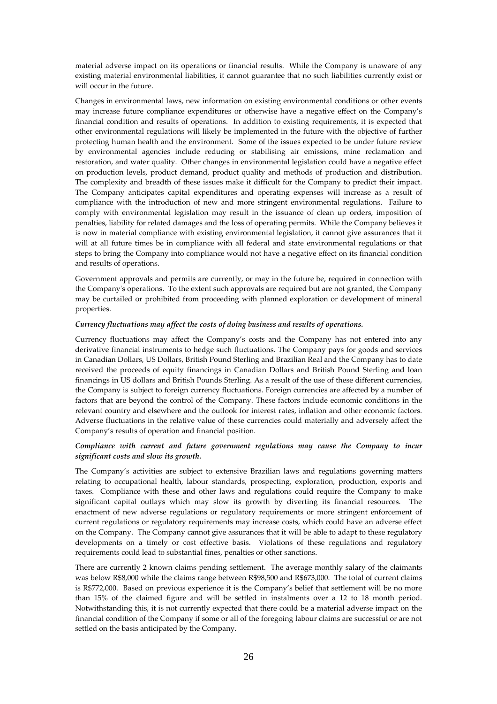material adverse impact on its operations or financial results. While the Company is unaware of any existing material environmental liabilities, it cannot guarantee that no such liabilities currently exist or will occur in the future.

Changes in environmental laws, new information on existing environmental conditions or other events may increase future compliance expenditures or otherwise have a negative effect on the Company's financial condition and results of operations. In addition to existing requirements, it is expected that other environmental regulations will likely be implemented in the future with the objective of further protecting human health and the environment. Some of the issues expected to be under future review by environmental agencies include reducing or stabilising air emissions, mine reclamation and restoration, and water quality. Other changes in environmental legislation could have a negative effect on production levels, product demand, product quality and methods of production and distribution. The complexity and breadth of these issues make it difficult for the Company to predict their impact. The Company anticipates capital expenditures and operating expenses will increase as a result of compliance with the introduction of new and more stringent environmental regulations. Failure to comply with environmental legislation may result in the issuance of clean up orders, imposition of penalties, liability for related damages and the loss of operating permits. While the Company believes it is now in material compliance with existing environmental legislation, it cannot give assurances that it will at all future times be in compliance with all federal and state environmental regulations or that steps to bring the Company into compliance would not have a negative effect on its financial condition and results of operations.

Government approvals and permits are currently, or may in the future be, required in connection with the Company's operations. To the extent such approvals are required but are not granted, the Company may be curtailed or prohibited from proceeding with planned exploration or development of mineral properties.

## *Currency fluctuations may affect the costs of doing business and results of operations.*

Currency fluctuations may affect the Company's costs and the Company has not entered into any derivative financial instruments to hedge such fluctuations. The Company pays for goods and services in Canadian Dollars, US Dollars, British Pound Sterling and Brazilian Real and the Company has to date received the proceeds of equity financings in Canadian Dollars and British Pound Sterling and loan financings in US dollars and British Pounds Sterling. As a result of the use of these different currencies, the Company is subject to foreign currency fluctuations. Foreign currencies are affected by a number of factors that are beyond the control of the Company. These factors include economic conditions in the relevant country and elsewhere and the outlook for interest rates, inflation and other economic factors. Adverse fluctuations in the relative value of these currencies could materially and adversely affect the Company's results of operation and financial position.

## *Compliance with current and future government regulations may cause the Company to incur significant costs and slow its growth.*

The Company's activities are subject to extensive Brazilian laws and regulations governing matters relating to occupational health, labour standards, prospecting, exploration, production, exports and taxes. Compliance with these and other laws and regulations could require the Company to make significant capital outlays which may slow its growth by diverting its financial resources. The enactment of new adverse regulations or regulatory requirements or more stringent enforcement of current regulations or regulatory requirements may increase costs, which could have an adverse effect on the Company. The Company cannot give assurances that it will be able to adapt to these regulatory developments on a timely or cost effective basis. Violations of these regulations and regulatory requirements could lead to substantial fines, penalties or other sanctions.

There are currently 2 known claims pending settlement. The average monthly salary of the claimants was below R\$8,000 while the claims range between R\$98,500 and R\$673,000. The total of current claims is R\$772,000. Based on previous experience it is the Company's belief that settlement will be no more than 15% of the claimed figure and will be settled in instalments over a 12 to 18 month period. Notwithstanding this, it is not currently expected that there could be a material adverse impact on the financial condition of the Company if some or all of the foregoing labour claims are successful or are not settled on the basis anticipated by the Company.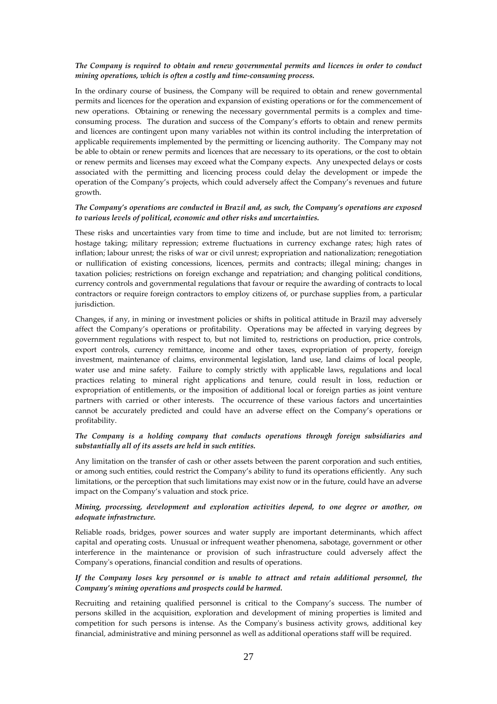## *The Company is required to obtain and renew governmental permits and licences in order to conduct mining operations, which is often a costly and time-consuming process.*

In the ordinary course of business, the Company will be required to obtain and renew governmental permits and licences for the operation and expansion of existing operations or for the commencement of new operations. Obtaining or renewing the necessary governmental permits is a complex and timeconsuming process. The duration and success of the Company's efforts to obtain and renew permits and licences are contingent upon many variables not within its control including the interpretation of applicable requirements implemented by the permitting or licencing authority. The Company may not be able to obtain or renew permits and licences that are necessary to its operations, or the cost to obtain or renew permits and licenses may exceed what the Company expects. Any unexpected delays or costs associated with the permitting and licencing process could delay the development or impede the operation of the Company's projects, which could adversely affect the Company's revenues and future growth.

## *The Company's operations are conducted in Brazil and, as such, the Company's operations are exposed to various levels of political, economic and other risks and uncertainties.*

These risks and uncertainties vary from time to time and include, but are not limited to: terrorism; hostage taking; military repression; extreme fluctuations in currency exchange rates; high rates of inflation; labour unrest; the risks of war or civil unrest; expropriation and nationalization; renegotiation or nullification of existing concessions, licences, permits and contracts; illegal mining; changes in taxation policies; restrictions on foreign exchange and repatriation; and changing political conditions, currency controls and governmental regulations that favour or require the awarding of contracts to local contractors or require foreign contractors to employ citizens of, or purchase supplies from, a particular jurisdiction.

Changes, if any, in mining or investment policies or shifts in political attitude in Brazil may adversely affect the Company's operations or profitability. Operations may be affected in varying degrees by government regulations with respect to, but not limited to, restrictions on production, price controls, export controls, currency remittance, income and other taxes, expropriation of property, foreign investment, maintenance of claims, environmental legislation, land use, land claims of local people, water use and mine safety. Failure to comply strictly with applicable laws, regulations and local practices relating to mineral right applications and tenure, could result in loss, reduction or expropriation of entitlements, or the imposition of additional local or foreign parties as joint venture partners with carried or other interests. The occurrence of these various factors and uncertainties cannot be accurately predicted and could have an adverse effect on the Company's operations or profitability.

## *The Company is a holding company that conducts operations through foreign subsidiaries and substantially all of its assets are held in such entities.*

Any limitation on the transfer of cash or other assets between the parent corporation and such entities, or among such entities, could restrict the Company's ability to fund its operations efficiently. Any such limitations, or the perception that such limitations may exist now or in the future, could have an adverse impact on the Company's valuation and stock price.

## *Mining, processing, development and exploration activities depend, to one degree or another, on adequate infrastructure.*

Reliable roads, bridges, power sources and water supply are important determinants, which affect capital and operating costs. Unusual or infrequent weather phenomena, sabotage, government or other interference in the maintenance or provision of such infrastructure could adversely affect the Company's operations, financial condition and results of operations.

## *If the Company loses key personnel or is unable to attract and retain additional personnel, the Company's mining operations and prospects could be harmed.*

Recruiting and retaining qualified personnel is critical to the Company's success. The number of persons skilled in the acquisition, exploration and development of mining properties is limited and competition for such persons is intense. As the Company's business activity grows, additional key financial, administrative and mining personnel as well as additional operations staff will be required.